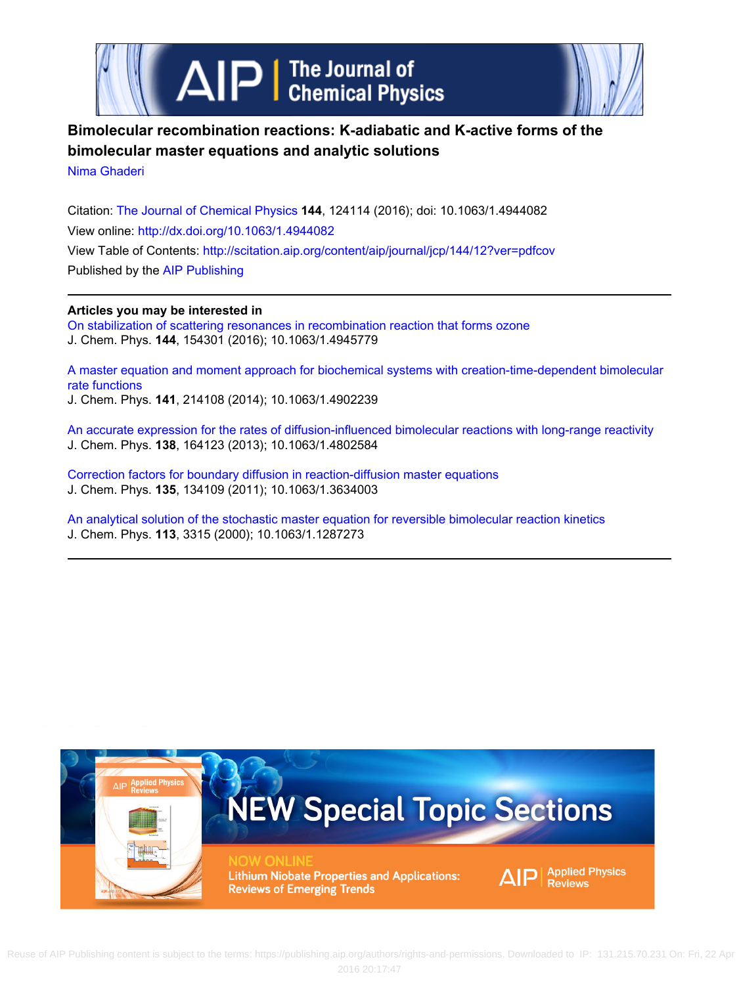



# **Bimolecular recombination reactions: K-adiabatic and K-active forms of the bimolecular master equations and analytic solutions**

[Nima Ghaderi](http://scitation.aip.org/search?value1=Nima+Ghaderi&option1=author)

Citation: [The Journal of Chemical Physics](http://scitation.aip.org/content/aip/journal/jcp?ver=pdfcov) **144**, 124114 (2016); doi: 10.1063/1.4944082 View online: <http://dx.doi.org/10.1063/1.4944082> View Table of Contents:<http://scitation.aip.org/content/aip/journal/jcp/144/12?ver=pdfcov> Published by the [AIP Publishing](http://scitation.aip.org/content/aip?ver=pdfcov)

## **Articles you may be interested in**

[On stabilization of scattering resonances in recombination reaction that forms ozone](http://scitation.aip.org/content/aip/journal/jcp/144/15/10.1063/1.4945779?ver=pdfcov) J. Chem. Phys. **144**, 154301 (2016); 10.1063/1.4945779

[A master equation and moment approach for biochemical systems with creation-time-dependent bimolecular](http://scitation.aip.org/content/aip/journal/jcp/141/21/10.1063/1.4902239?ver=pdfcov) [rate functions](http://scitation.aip.org/content/aip/journal/jcp/141/21/10.1063/1.4902239?ver=pdfcov)

J. Chem. Phys. **141**, 214108 (2014); 10.1063/1.4902239

[An accurate expression for the rates of diffusion-influenced bimolecular reactions with long-range reactivity](http://scitation.aip.org/content/aip/journal/jcp/138/16/10.1063/1.4802584?ver=pdfcov) J. Chem. Phys. **138**, 164123 (2013); 10.1063/1.4802584

[Correction factors for boundary diffusion in reaction-diffusion master equations](http://scitation.aip.org/content/aip/journal/jcp/135/13/10.1063/1.3634003?ver=pdfcov) J. Chem. Phys. **135**, 134109 (2011); 10.1063/1.3634003

[An analytical solution of the stochastic master equation for reversible bimolecular reaction kinetics](http://scitation.aip.org/content/aip/journal/jcp/113/8/10.1063/1.1287273?ver=pdfcov) J. Chem. Phys. **113**, 3315 (2000); 10.1063/1.1287273

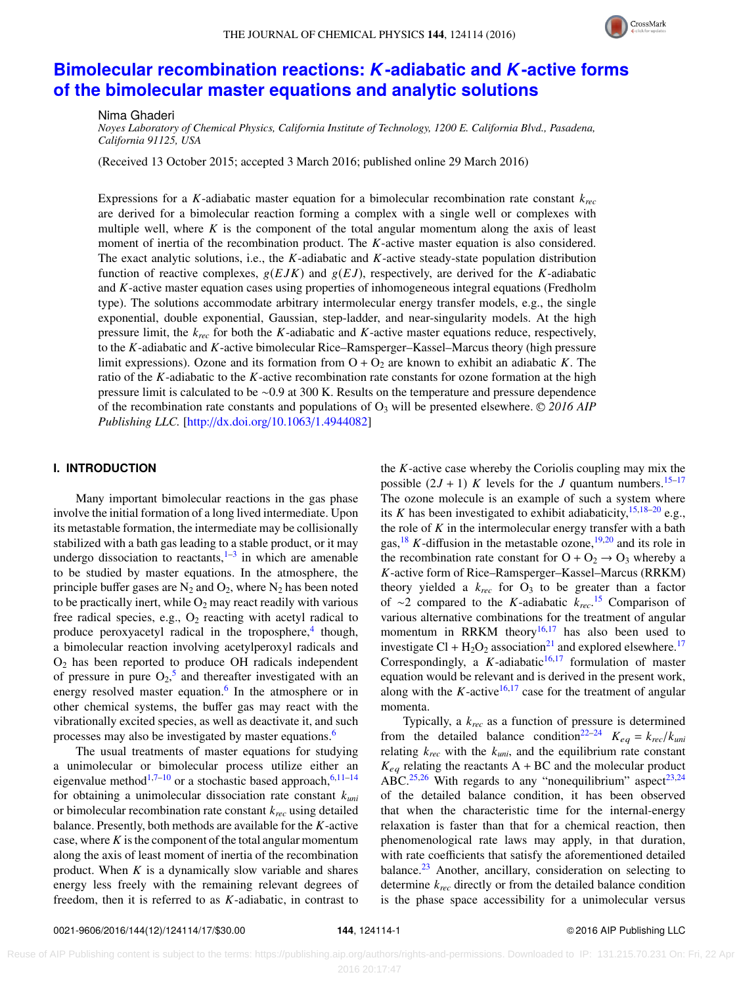#### THE JOURNAL OF CHEMICAL PHYSICS 144, 124114 (2016)



# **[Bimolecular recombination reactions:](http://dx.doi.org/10.1063/1.4944082)** *K***-adiabatic and** *K***-active forms [of the bimolecular master equations and analytic solutions](http://dx.doi.org/10.1063/1.4944082)**

Nima Ghaderi

*Noyes Laboratory of Chemical Physics, California Institute of Technology, 1200 E. California Blvd., Pasadena, California 91125, USA*

(Received 13 October 2015; accepted 3 March 2016; published online 29 March 2016)

Expressions for a *K*-adiabatic master equation for a bimolecular recombination rate constant *krec* are derived for a bimolecular reaction forming a complex with a single well or complexes with multiple well, where  $K$  is the component of the total angular momentum along the axis of least moment of inertia of the recombination product. The *K*-active master equation is also considered. The exact analytic solutions, i.e., the *K*-adiabatic and *K*-active steady-state population distribution function of reactive complexes,  $g(EJK)$  and  $g(EJ)$ , respectively, are derived for the *K*-adiabatic and *K*-active master equation cases using properties of inhomogeneous integral equations (Fredholm type). The solutions accommodate arbitrary intermolecular energy transfer models, e.g., the single exponential, double exponential, Gaussian, step-ladder, and near-singularity models. At the high pressure limit, the *krec* for both the *K*-adiabatic and *K*-active master equations reduce, respectively, to the *K*-adiabatic and *K*-active bimolecular Rice–Ramsperger–Kassel–Marcus theory (high pressure limit expressions). Ozone and its formation from  $O + O_2$  are known to exhibit an adiabatic *K*. The ratio of the *K*-adiabatic to the *K*-active recombination rate constants for ozone formation at the high pressure limit is calculated to be ∼0.9 at 300 K. Results on the temperature and pressure dependence of the recombination rate constants and populations of  $O_3$  will be presented elsewhere.  $\odot$  2016 AIP *Publishing LLC.* [\[http:](http://dx.doi.org/10.1063/1.4944082)//[dx.doi.org](http://dx.doi.org/10.1063/1.4944082)/[10.1063](http://dx.doi.org/10.1063/1.4944082)/[1.4944082\]](http://dx.doi.org/10.1063/1.4944082)

#### **I. INTRODUCTION**

Many important bimolecular reactions in the gas phase involve the initial formation of a long lived intermediate. Upon its metastable formation, the intermediate may be collisionally stabilized with a bath gas leading to a stable product, or it may undergo dissociation to reactants, $1-3$  $1-3$  in which are amenable to be studied by master equations. In the atmosphere, the principle buffer gases are  $N_2$  and  $O_2$ , where  $N_2$  has been noted to be practically inert, while  $O_2$  may react readily with various free radical species, e.g.,  $O_2$  reacting with acetyl radical to produce peroxyacetyl radical in the troposphere,<sup>[4](#page-16-2)</sup> though, a bimolecular reaction involving acetylperoxyl radicals and  $O<sub>2</sub>$  has been reported to produce OH radicals independent of pressure in pure  $O_2$ ,<sup>[5](#page-16-3)</sup> and thereafter investigated with an energy resolved master equation.<sup>[6](#page-16-4)</sup> In the atmosphere or in other chemical systems, the buffer gas may react with the vibrationally excited species, as well as deactivate it, and such processes may also be investigated by master equations.<sup>[6](#page-16-4)</sup>

The usual treatments of master equations for studying a unimolecular or bimolecular process utilize either an eigenvalue method<sup>[1](#page-16-0)[,7](#page-16-5)[–10](#page-16-6)</sup> or a stochastic based approach,<sup>[6,](#page-16-4)[11–](#page-16-7)[14](#page-16-8)</sup> for obtaining a unimolecular dissociation rate constant *kuni* or bimolecular recombination rate constant *krec* using detailed balance. Presently, both methods are available for the *K*-active case, where  $K$  is the component of the total angular momentum along the axis of least moment of inertia of the recombination product. When *K* is a dynamically slow variable and shares energy less freely with the remaining relevant degrees of freedom, then it is referred to as *K*-adiabatic, in contrast to

the *K*-active case whereby the Coriolis coupling may mix the possible  $(2J + 1)$  *K* levels for the *J* quantum numbers.<sup>[15–](#page-16-9)[17](#page-16-10)</sup> The ozone molecule is an example of such a system where its *K* has been investigated to exhibit adiabaticity,  $15,18-20$  $15,18-20$  $15,18-20$  e.g., the role of  $K$  in the intermolecular energy transfer with a bath gas,  $^{18}$  $^{18}$  $^{18}$  K-diffusion in the metastable ozone,  $^{19,20}$  $^{19,20}$  $^{19,20}$  $^{19,20}$  and its role in the recombination rate constant for  $O + O_2 \rightarrow O_3$  whereby a *K*-active form of Rice–Ramsperger–Kassel–Marcus (RRKM) theory yielded a  $k_{rec}$  for  $O_3$  to be greater than a factor of ∼2 compared to the *K*-adiabatic *krec*. [15](#page-16-9) Comparison of various alternative combinations for the treatment of angular momentum in RRKM theory<sup>[16,](#page-16-14)[17](#page-16-10)</sup> has also been used to investigate Cl +  $H_2O_2$  association<sup>[21](#page-16-15)</sup> and explored elsewhere.<sup>[17](#page-16-10)</sup> Correspondingly, a  $K$ -adiabatic<sup>[16](#page-16-14)[,17](#page-16-10)</sup> formulation of master equation would be relevant and is derived in the present work, along with the  $K$ -active<sup>[16](#page-16-14)[,17](#page-16-10)</sup> case for the treatment of angular momenta.

Typically, a *krec* as a function of pressure is determined from the detailed balance condition<sup>[22–](#page-16-16)[24](#page-16-17)</sup>  $K_{eq} = k_{rec}/k_{uni}$ relating  $k_{rec}$  with the  $k_{uni}$ , and the equilibrium rate constant  $K_{eq}$  relating the reactants  $A + BC$  and the molecular product ABC.<sup>[25,](#page-16-18)[26](#page-16-19)</sup> With regards to any "nonequilibrium" aspect<sup>[23](#page-16-20)[,24](#page-16-17)</sup> of the detailed balance condition, it has been observed that when the characteristic time for the internal-energy relaxation is faster than that for a chemical reaction, then phenomenological rate laws may apply, in that duration, with rate coefficients that satisfy the aforementioned detailed balance.<sup>[23](#page-16-20)</sup> Another, ancillary, consideration on selecting to determine *krec* directly or from the detailed balance condition is the phase space accessibility for a unimolecular versus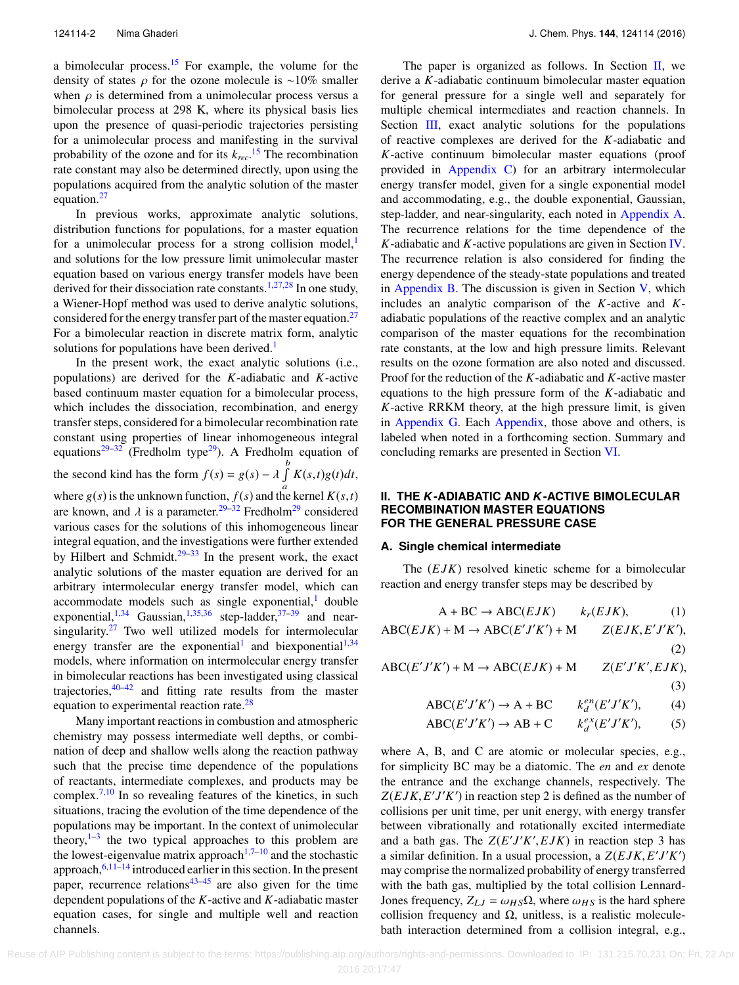a bimolecular process.[15](#page-16-9) For example, the volume for the density of states  $\rho$  for the ozone molecule is ~10% smaller when  $\rho$  is determined from a unimolecular process versus a bimolecular process at 298 K, where its physical basis lies upon the presence of quasi-periodic trajectories persisting for a unimolecular process and manifesting in the survival probability of the ozone and for its *krec*. [15](#page-16-9) The recombination rate constant may also be determined directly, upon using the populations acquired from the analytic solution of the master equation.<sup>[27](#page-16-21)</sup>

In previous works, approximate analytic solutions, distribution functions for populations, for a master equation for a unimolecular process for a strong collision model, $\frac{1}{1}$  $\frac{1}{1}$  $\frac{1}{1}$ and solutions for the low pressure limit unimolecular master equation based on various energy transfer models have been derived for their dissociation rate constants.<sup>[1](#page-16-0)[,27,](#page-16-21)[28](#page-16-22)</sup> In one study, a Wiener-Hopf method was used to derive analytic solutions, considered for the energy transfer part of the master equation.<sup>[27](#page-16-21)</sup> For a bimolecular reaction in discrete matrix form, analytic solutions for populations have been derived.<sup>[1](#page-16-0)</sup>

In the present work, the exact analytic solutions (i.e., populations) are derived for the *K*-adiabatic and *K*-active based continuum master equation for a bimolecular process, which includes the dissociation, recombination, and energy transfer steps, considered for a bimolecular recombination rate constant using properties of linear inhomogeneous integral equations<sup>29-[32](#page-16-24)</sup> (Fredholm type<sup>[29](#page-16-23)</sup>). A Fredholm equation of the second kind has the form  $f(s) = g(s) - \lambda \int_{a}^{b} K(s,t)g(t)dt$ , where  $g(s)$  is the unknown function,  $f(s)$  and the kernel  $K(s,t)$ <br>are known, and d is a naramater  $2^{9-32}$  Fradbolm<sup>29</sup> considered are known, and  $\lambda$  is a parameter.<sup>[29–](#page-16-23)[32](#page-16-24)</sup> Fredholm<sup>[29](#page-16-23)</sup> considered various cases for the solutions of this inhomogeneous linear integral equation, and the investigations were further extended by Hilbert and Schmidt. $29-33$  $29-33$  In the present work, the exact analytic solutions of the master equation are derived for an arbitrary intermolecular energy transfer model, which can accommodate models such as single exponential, $<sup>1</sup>$  $<sup>1</sup>$  $<sup>1</sup>$  double</sup> exponential,<sup>[1](#page-16-0)[,34](#page-16-26)</sup> Gaussian,<sup>[1,](#page-16-0)[35](#page-16-27)[,36](#page-16-28)</sup> step-ladder,<sup>[37–](#page-16-29)[39](#page-17-0)</sup> and nearsingularity. $27$  Two well utilized models for intermolecular energy transfer are the exponential<sup>[1](#page-16-0)</sup> and biexponential<sup>1[,34](#page-16-26)</sup> models, where information on intermolecular energy transfer in bimolecular reactions has been investigated using classical trajectories, $40-42$  $40-42$  and fitting rate results from the master equation to experimental reaction rate.<sup>[28](#page-16-22)</sup>

Many important reactions in combustion and atmospheric chemistry may possess intermediate well depths, or combination of deep and shallow wells along the reaction pathway such that the precise time dependence of the populations of reactants, intermediate complexes, and products may be complex.<sup>[7](#page-16-5)[,10](#page-16-6)</sup> In so revealing features of the kinetics, in such situations, tracing the evolution of the time dependence of the populations may be important. In the context of unimolecular theory, $1-3$  $1-3$  the two typical approaches to this problem are the lowest-eigenvalue matrix approach<sup>[1,](#page-16-0)[7](#page-16-5)[–10](#page-16-6)</sup> and the stochastic approach,  $6,11-14$  $6,11-14$  $6,11-14$  introduced earlier in this section. In the present paper, recurrence relations<sup>[43](#page-17-3)[–45](#page-17-4)</sup> are also given for the time dependent populations of the *K*-active and *K*-adiabatic master equation cases, for single and multiple well and reaction channels.

The paper is organized as follows. In Section  $II$ , we derive a *K*-adiabatic continuum bimolecular master equation for general pressure for a single well and separately for multiple chemical intermediates and reaction channels. In Section [III,](#page-4-0) exact analytic solutions for the populations of reactive complexes are derived for the *K*-adiabatic and *K*-active continuum bimolecular master equations (proof provided in [Appendix C\)](#page-12-0) for an arbitrary intermolecular energy transfer model, given for a single exponential model and accommodating, e.g., the double exponential, Gaussian, step-ladder, and near-singularity, each noted in [Appendix A.](#page-11-0) The recurrence relations for the time dependence of the *K*-adiabatic and *K*-active populations are given in Section [IV.](#page-6-0) The recurrence relation is also considered for finding the energy dependence of the steady-state populations and treated in [Appendix B.](#page-12-1) The discussion is given in Section  $V$ , which includes an analytic comparison of the *K*-active and *K*adiabatic populations of the reactive complex and an analytic comparison of the master equations for the recombination rate constants, at the low and high pressure limits. Relevant results on the ozone formation are also noted and discussed. Proof for the reduction of the *K*-adiabatic and *K*-active master equations to the high pressure form of the *K*-adiabatic and *K*-active RRKM theory, at the high pressure limit, is given in [Appendix G.](#page-15-0) Each [Appendix,](#page-11-0) those above and others, is labeled when noted in a forthcoming section. Summary and concluding remarks are presented in Section [VI.](#page-11-1)

## <span id="page-2-0"></span>**II. THE** *K***-ADIABATIC AND** *K***-ACTIVE BIMOLECULAR RECOMBINATION MASTER EQUATIONS FOR THE GENERAL PRESSURE CASE**

## **A. Single chemical intermediate**

The (*E JK*) resolved kinetic scheme for a bimolecular reaction and energy transfer steps may be described by

$$
A + BC \rightarrow ABC(EJK) \qquad k_r(EJK), \qquad (1)
$$

$$
ABC(EJK) + M \rightarrow ABC(E'J'K') + M \qquad Z(EJK, E'J'K'),
$$
\n(2)

 $ABC(E'J'K') + M \rightarrow ABC(EJK) + M$  *Z*(*E*  $\chi' J' K', EJK),$ 

$$
\frac{1}{(3)}
$$

$$
ABC(E'J'K') \to A + BC \qquad k_d^{en}(E'J'K'), \tag{4}
$$

$$
ABC(E'J'K') \to AB + C \qquad k_d^{ex}(E'J'K'), \tag{5}
$$

where A, B, and C are atomic or molecular species, e.g., for simplicity BC may be a diatomic. The *en* and *ex* denote the entrance and the exchange channels, respectively. The  $Z(EJK, E'J'K')$  in reaction step 2 is defined as the number of collisions per unit time, per unit energy with energy transfer collisions per unit time, per unit energy, with energy transfer between vibrationally and rotationally excited intermediate and a bath gas. The  $Z(E'/K', EJK)$  in reaction step 3 has<br>a similar definition. In a usual procession, a  $Z(EJK, E'/I'K')$ a similar definition. In a usual procession, a  $Z(EJK, E'J'K')$ <br>may comprise the normalized probability of energy transferred may comprise the normalized probability of energy transferred with the bath gas, multiplied by the total collision Lennard-Jones frequency,  $Z_{LJ} = \omega_{HS} \Omega$ , where  $\omega_{HS}$  is the hard sphere collision frequency and  $Ω$ , unitless, is a realistic moleculebath interaction determined from a collision integral, e.g.,

Reuse of AIP Publishing content is subject to the terms: https://publishing.aip.org/authors/rights-and-permissions. Downloaded to IP: 131.215.70.231 On: Fri, 22 Apr 2016 20:17:47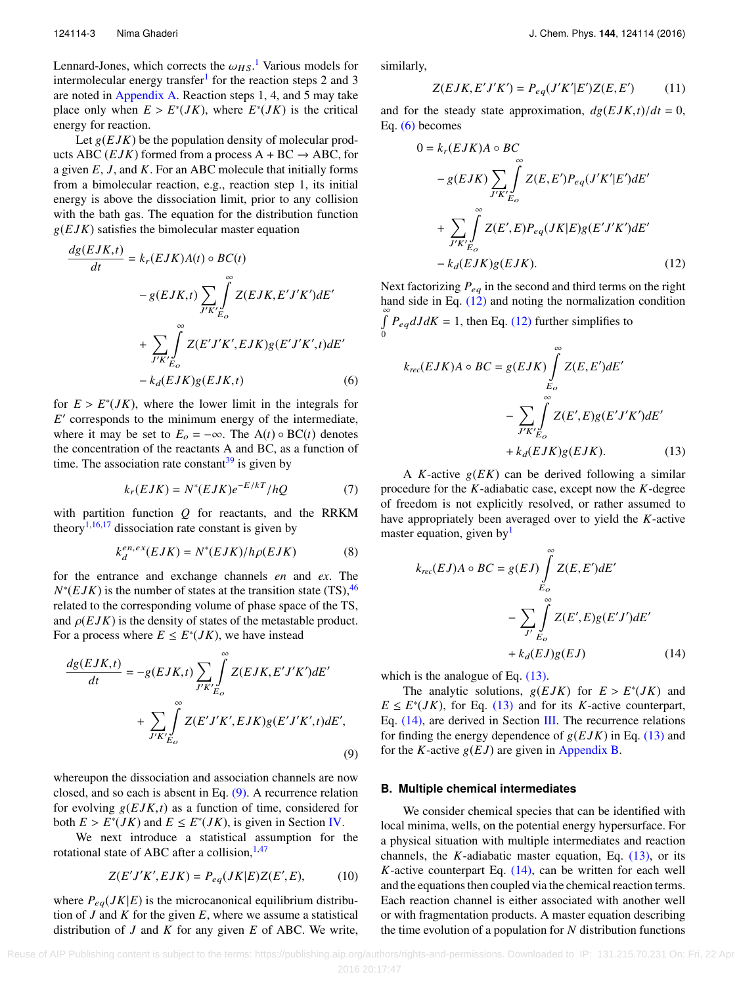Lennard-Jones, which corrects the  $\omega_{HS}$ .<sup>[1](#page-16-0)</sup> Various models for intermolecular energy transfer<sup>1</sup> for the reaction steps 2 and 3 intermolecular energy transfer<sup>[1](#page-16-0)</sup> for the reaction steps 2 and 3 are noted in [Appendix A.](#page-11-0) Reaction steps 1, 4, and 5 may take place only when  $E > E^*(JK)$ , where  $E^*(JK)$  is the critical energy for reaction energy for reaction.

Let  $g(EJK)$  be the population density of molecular products ABC (*EJK*) formed from a process  $A + BC \rightarrow ABC$ , for a given *E*, *J*, and *K*. For an ABC molecule that initially forms from a bimolecular reaction, e.g., reaction step 1, its initial energy is above the dissociation limit, prior to any collision with the bath gas. The equation for the distribution function  $g(EJK)$  satisfies the bimolecular master equation

$$
\frac{dg(EJK,t)}{dt} = k_r(EJK)A(t) \circ BC(t)
$$

$$
-g(EJK,t) \sum_{J'K'} \int_{E_O}^{\infty} Z(EJK,E'J'K')dE'
$$

$$
+ \sum_{J'K'} \int_{E_O}^{\infty} Z(E'J'K',EJK)g(E'J'K',t)dE'
$$

$$
-k_d(EJK)g(EJK,t) \tag{6}
$$

for  $E > E^*(JK)$ , where the lower limit in the integrals for  $F'$  corresponds to the minimum energy of the intermediate *E* ′ corresponds to the minimum energy of the intermediate, where it may be set to  $E_o = -\infty$ . The  $A(t) \circ BC(t)$  denotes the concentration of the reactants A and BC, as a function of time. The association rate constant $39$  is given by

$$
k_r(EJK) = N^*(EJK)e^{-E/kT}/hQ \tag{7}
$$

with partition function *Q* for reactants, and the RRKM theory<sup>[1,](#page-16-0)[16](#page-16-14)[,17](#page-16-10)</sup> dissociation rate constant is given by

$$
k_d^{en,ex}(EJK) = N^*(EJK)/h\rho(EJK)
$$
 (8)

for the entrance and exchange channels *en* and *ex*. The  $N^*(EJK)$  is the number of states at the transition state (TS),<sup>[46](#page-17-5)</sup> related to the corresponding volume of phase space of the TS, and  $\rho(EJK)$  is the density of states of the metastable product. For a process where  $E \le E^*(JK)$ , we have instead

$$
\frac{dg(EJK,t)}{dt} = -g(EJK,t) \sum_{J'K'} \int_{E_O}^{\infty} Z(EJK,E'J'K')dE'
$$

$$
+ \sum_{J'K'} \int_{E_O}^{\infty} Z(E'J'K',EJK)g(E'J'K',t)dE',
$$
(9)

whereupon the dissociation and association channels are now closed, and so each is absent in Eq. [\(9\).](#page-3-0) A recurrence relation for evolving  $g(EJK,t)$  as a function of time, considered for both  $E > E^*(JK)$  and  $E \leq E^*(JK)$ , is given in Section [IV.](#page-6-0)<br>We next, introduce a statistical assumption for t

We next introduce a statistical assumption for the rotational state of ABC after a collision,  $1,47$  $1,47$ 

$$
Z(E'J'K',EJK) = P_{eq}(JK|E)Z(E',E),\tag{10}
$$

where  $P_{eq}(JK|E)$  is the microcanonical equilibrium distribution of *J* and *K* for the given *E*, where we assume a statistical distribution of *J* and *K* for any given *E* of ABC. We write, similarly,

<span id="page-3-1"></span> $\mathbf{0}$ 

$$
Z(EJK, E'J'K') = P_{eq}(J'K'|E')Z(E, E')
$$
 (11)

and for the steady state approximation,  $dg(EJK,t)/dt = 0$ , Eq. [\(6\)](#page-3-1) becomes

<span id="page-3-2"></span>
$$
0 = k_r(EJK)A \circ BC
$$
  
\n
$$
-g(EJK) \sum_{J'K'} \int_{E_O}^{\infty} Z(E,E')P_{eq}(J'K'|E')dE'
$$
  
\n
$$
+ \sum_{J'K'} \int_{E_O}^{\infty} Z(E',E)P_{eq}(JK|E)g(E'J'K')dE'
$$
  
\n
$$
- k_d(EJK)g(EJK).
$$
 (12)

Next factorizing  $P_{eq}$  in the second and third terms on the right hand side in Eq. [\(12\)](#page-3-2) and noting the normalization condition  $\int_{0}^{\infty} P_{eq} dJ dK = 1$ , then Eq. [\(12\)](#page-3-2) further simplifies to

$$
k_{rec}(EJK)A \circ BC = g(EJK) \int_{E_O}^{\infty} Z(E, E')dE'
$$
  

$$
- \sum_{J'K'} \int_{E_O}^{\infty} Z(E', E)g(E'J'K')dE'
$$
  

$$
+ k_d(EJK)g(EJK). \tag{13}
$$

<span id="page-3-5"></span><sup>A</sup> *<sup>K</sup>*-active g(*EK*) can be derived following a similar procedure for the *K*-adiabatic case, except now the *K*-degree of freedom is not explicitly resolved, or rather assumed to have appropriately been averaged over to yield the *K*-active master equation, given by $<sup>1</sup>$  $<sup>1</sup>$  $<sup>1</sup>$ </sup>

<span id="page-3-6"></span><span id="page-3-4"></span><span id="page-3-3"></span>
$$
k_{rec}(EJ)A \circ BC = g(EJ) \int_{E_O}^{\infty} Z(E, E')dE'
$$

$$
- \sum_{J'} \int_{E_O}^{\infty} Z(E', E)g(E'J')dE'
$$

$$
+ k_d(EJ)g(EJ) \qquad (14)
$$

which is the analogue of Eq.  $(13)$ .

The analytic solutions,  $g(EJK)$  for  $E > E^*(JK)$  and  $F^*(IK)$  for Eq. (13) and for its K-active counterpart  $E \le E^*(JK)$ , for Eq. [\(13\)](#page-3-3) and for its *K*-active counterpart, Eq.  $(14)$ , are derived in Section [III.](#page-4-0) The recurrence relations for finding the energy dependence of  $g(EJK)$  in Eq. [\(13\)](#page-3-3) and for the *K*-active  $g(EJ)$  are given in [Appendix B.](#page-12-1)

#### <span id="page-3-0"></span>**B. Multiple chemical intermediates**

We consider chemical species that can be identified with local minima, wells, on the potential energy hypersurface. For a physical situation with multiple intermediates and reaction channels, the *K*-adiabatic master equation, Eq. [\(13\),](#page-3-3) or its  $K$ -active counterpart Eq.  $(14)$ , can be written for each well and the equations then coupled via the chemical reaction terms. Each reaction channel is either associated with another well or with fragmentation products. A master equation describing the time evolution of a population for *N* distribution functions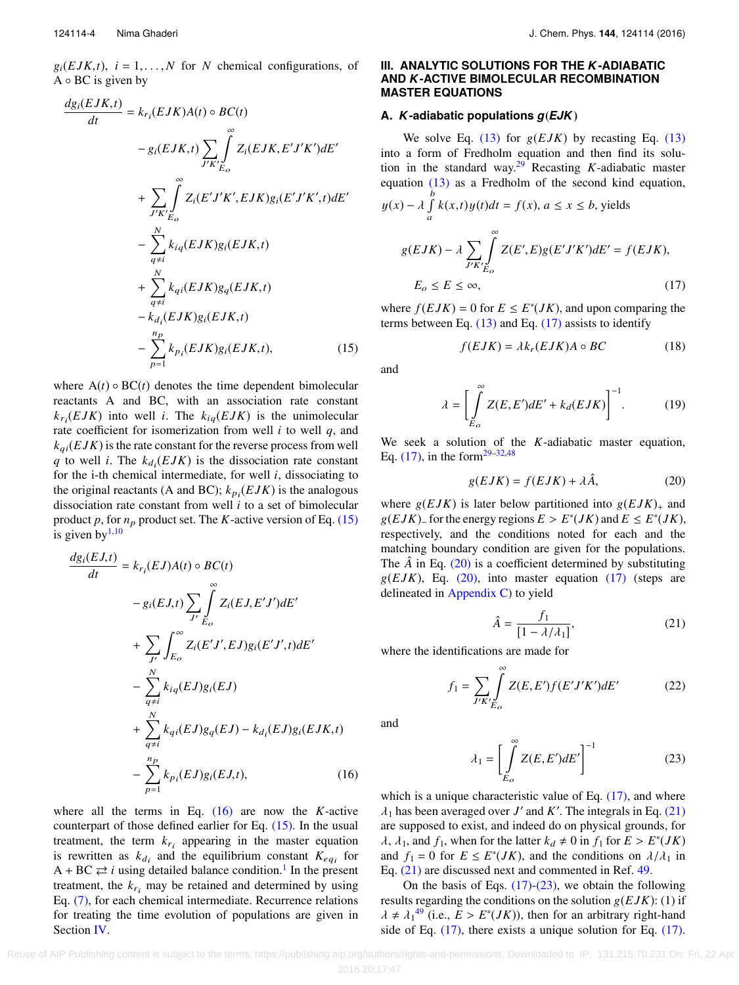$g_i(EJK,t)$ ,  $i = 1,...,N$  for *N* chemical configurations, of  $A \circ BC$  is given by

$$
\frac{dg_i(EJK,t)}{dt} = k_{r_i}(EJK)A(t) \circ BC(t)
$$

$$
- g_i(EJK,t) \sum_{J'K'} \int_{E_O}^{\infty} Z_i(EJK,E'J'K')dE'
$$

$$
+ \sum_{J'K'} \int_{E_O}^{\infty} Z_i(E'J'K',EJK)g_i(E'J'K',t)dE'
$$

$$
- \sum_{q \neq i}^{N} k_{iq}(EJK)g_i(EJK,t)
$$

$$
+ \sum_{q \neq i}^{N} k_{qi}(EJK)g_q(EJK,t)
$$

$$
- k_{d_i}(EJK)g_i(EJK,t)
$$

$$
- \sum_{p=1}^{n_p} k_{p_i}(EJK)g_i(EJK,t), \qquad (15)
$$

where  $A(t) \circ BC(t)$  denotes the time dependent bimolecular reactants A and BC, with an association rate constant  $k_{r_i}(EJK)$  into well *i*. The  $k_{iq}(EJK)$  is the unimolecular rate coefficient for isomerization from well *i* to well *q*, and  $k_{ai}(EJK)$  is the rate constant for the reverse process from well *q* to well *i*. The  $k_{d_i}(EJK)$  is the dissociation rate constant for the i-th chemical intermediate, for well *i*, dissociating to the original reactants (A and BC);  $k_{pi}(EJK)$  is the analogous dissociation rate constant from well *i* to a set of bimolecular product  $p$ , for  $n_p$  product set. The  $K$ -active version of Eq. [\(15\)](#page-4-1) is given by  $1,10$  $1,10$ 

$$
\frac{dg_i(EJ,t)}{dt} = k_{r_i}(EJ)A(t) \circ BC(t)
$$

$$
-g_i(EJ,t) \sum_{J'} \int_{E_O}^{\infty} Z_i(EJ,E'J')dE'
$$

$$
+ \sum_{J'} \int_{E_O}^{\infty} Z_i(E'J',EJ)g_i(E'J',t)dE'
$$

$$
- \sum_{q \neq i}^{N} k_{iq}(EJ)g_i(EJ)
$$

$$
+ \sum_{q \neq i}^{N} k_{qi}(EJ)g_q(EJ) - k_{d_i}(EJ)g_i(EJK,t)
$$

$$
- \sum_{p=1}^{n_P} k_{pi}(EJ)g_i(EJ,t), \qquad (16)
$$

<span id="page-4-0"></span>where all the terms in Eq. [\(16\)](#page-4-2) are now the *K*-active counterpart of those defined earlier for Eq.  $(15)$ . In the usual treatment, the term  $k_{r_i}$  appearing in the master equation is rewritten as  $k_{d_i}$  and the equilibrium constant  $K_{eq_i}$  for  $A + BC \rightleftarrows i$  using detailed balance condition.<sup>[1](#page-16-0)</sup> In the present treatment, the  $k_{r_i}$  may be retained and determined by using Eq. [\(7\),](#page-3-5) for each chemical intermediate. Recurrence relations for treating the time evolution of populations are given in Section [IV.](#page-6-0)

## **III. ANALYTIC SOLUTIONS FOR THE** *K***-ADIABATIC AND** *K***-ACTIVE BIMOLECULAR RECOMBINATION MASTER EQUATIONS**

#### **A.** *K***-adiabatic populations** *g*(*EJK*)

We solve Eq.  $(13)$  for  $g(EJK)$  by recasting Eq.  $(13)$ into a form of Fredholm equation and then find its solu-tion in the standard way.<sup>[29](#page-16-23)</sup> Recasting *K*-adiabatic master equation [\(13\)](#page-3-3) as a Fredholm of the second kind equation, b

$$
y(x) - \lambda \int_{a}^{b} k(x, t) y(t) dt = f(x), a \le x \le b, \text{ yields}
$$
  

$$
g(EJK) - \lambda \sum_{J'K'} \int_{E_O}^{\infty} Z(E', E) g(E'J'K') dE' = f(EJK),
$$
  

$$
E_O \le E \le \infty,
$$
 (17)

<span id="page-4-1"></span>where  $f(EJK) = 0$  for  $E \le E^*(JK)$ , and upon comparing the terms between Eq.  $(13)$  and Eq.  $(17)$  assists to identify

<span id="page-4-8"></span><span id="page-4-7"></span><span id="page-4-3"></span>
$$
f(EJK) = \lambda k_r(EJK)A \circ BC \tag{18}
$$

and

$$
\lambda = \left[ \int_{E_o}^{\infty} Z(E, E') dE' + k_d(EJK) \right]^{-1}.
$$
 (19)

We seek a solution of the *K*-adiabatic master equation, Eq.  $(17)$ , in the form<sup>[29](#page-16-23)[–32](#page-16-24)[,48](#page-17-7)</sup>

<span id="page-4-4"></span>
$$
g(EJK) = f(EJK) + \lambda \hat{A},\tag{20}
$$

where  $g(EJK)$  is later below partitioned into  $g(EJK)_{+}$  and  $g(EJK)$ – for the energy regions  $E > E^*(JK)$  and  $E \le E^*(JK)$ ,<br>respectively and the conditions noted for each and the respectively, and the conditions noted for each and the matching boundary condition are given for the populations. The  $\hat{A}$  in Eq. [\(20\)](#page-4-4) is a coefficient determined by substituting  $g(EJK)$ , Eq. [\(20\),](#page-4-4) into master equation [\(17\)](#page-4-3) (steps are delineated in [Appendix C\)](#page-12-0) to yield

<span id="page-4-9"></span><span id="page-4-5"></span>
$$
\hat{A} = \frac{f_1}{\left[1 - \lambda/\lambda_1\right]},\tag{21}
$$

 $A = \frac{A}{[1 - \lambda/\lambda_1]}$ <br>where the identifications are made for

$$
f_1 = \sum_{J'K'} \int_{E_O}^{\infty} Z(E, E') f(E'J'K') dE'
$$
 (22)

<span id="page-4-2"></span>and

<span id="page-4-6"></span>
$$
\lambda_1 = \left[ \int_{E_O}^{\infty} Z(E, E') dE' \right]^{-1} \tag{23}
$$

which is a unique characteristic value of Eq.  $(17)$ , and where  $\lambda_1$  has been averaged over *J'* and *K'*. The integrals in Eq. [\(21\)](#page-4-5) are supposed to exist, and indeed do on physical grounds, for  $\lambda$ ,  $\lambda_1$ , and  $f_1$ , when for the latter  $k_d \neq 0$  in  $f_1$  for  $E > E^*(JK)$ <br>and  $f_1 = 0$  for  $E \leq E^*(IK)$  and the conditions on  $\lambda/\lambda_1$  in and  $f_1 = 0$  for  $E \le E^*(JK)$ , and the conditions on  $\lambda/\lambda_1$  in Eq. (21) are discussed next and commented in Ref. 49 Eq. [\(21\)](#page-4-5) are discussed next and commented in Ref. [49.](#page-17-8)

On the basis of Eqs.  $(17)-(23)$  $(17)-(23)$ , we obtain the following results regarding the conditions on the solution  $g(EJK)$ : (1) if  $\lambda \neq \lambda_1^{49}$  $\lambda \neq \lambda_1^{49}$  $\lambda \neq \lambda_1^{49}$  (i.e.,  $\overline{E} > E^*(JK)$ ), then for an arbitrary right-hand<br>side of Eq. (17), there exists a unique solution for Eq. (17) side of Eq. [\(17\),](#page-4-3) there exists a unique solution for Eq. [\(17\).](#page-4-3)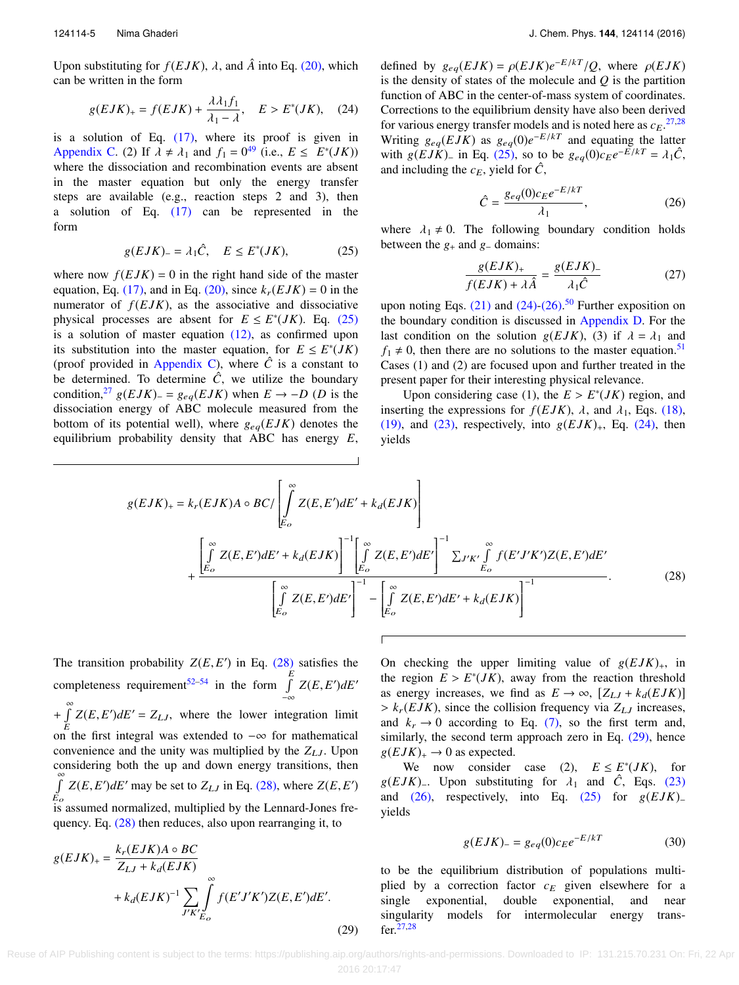Upon substituting for  $f(EJK)$ ,  $\lambda$ , and  $\hat{A}$  into Eq. [\(20\),](#page-4-4) which can be written in the form

$$
g(EJK)_+ = f(EJK) + \frac{\lambda \lambda_1 f_1}{\lambda_1 - \lambda}, \quad E > E^*(JK), \quad (24)
$$

is a solution of Eq. [\(17\),](#page-4-3) where its proof is given in [Appendix C.](#page-12-0) (2) If  $\lambda \neq \lambda_1$  and  $f_1 = 0^{49}$  $f_1 = 0^{49}$  $f_1 = 0^{49}$  (i.e.,  $E \leq E^*(JK)$ )<br>where the dissociation and recombination events are absent where the dissociation and recombination events are absent in the master equation but only the energy transfer steps are available (e.g., reaction steps 2 and 3), then a solution of Eq. [\(17\)](#page-4-3) can be represented in the form

$$
g(EJK)_{-} = \lambda_1 \hat{C}, \quad E \le E^*(JK), \tag{25}
$$

where now  $f(EJK) = 0$  in the right hand side of the master equation, Eq. [\(17\),](#page-4-3) and in Eq. [\(20\),](#page-4-4) since  $k_r(EJK) = 0$  in the numerator of  $f(EJK)$ , as the associative and dissociative physical processes are absent for  $E \le E^*(JK)$ . Eq. [\(25\)](#page-5-0) is a solution of master equation  $(12)$ , as confirmed upon its substitution into the master equation, for  $E \leq E^*(JK)$ (proof provided in [Appendix C\)](#page-12-0), where  $\hat{C}$  is a constant to be determined. To determine  $\hat{C}$ , we utilize the boundary condition,<sup>[27](#page-16-21)</sup> g(*EJK*)<sub>−</sub> = g<sub>eq</sub>(*EJK*) when  $E \rightarrow -D$  (*D* is the dissociation energy of ABC molecule measured from the bottom of its potential well), where  $g_{eq}(EJK)$  denotes the equilibrium probability density that ABC has energy *E*,

<span id="page-5-1"></span>defined by  $g_{eq}(EJK) = \rho(EJK)e^{-E/kT}/Q$ , where  $\rho(EJK)$ <br>is the density of states of the molecule and *Q* is the nartition is the density of states of the molecule and *Q* is the partition function of ABC in the center-of-mass system of coordinates. Corrections to the equilibrium density have also been derived for various energy transfer models and is noted here as  $c_E$ .<sup>[27](#page-16-21)[,28](#page-16-22)</sup> Writing  $g_{eq}(EJK)$  as  $g_{eq}(0)e^{-E/kT}$  and equating the latter<br>with  $g(EJK)$  in Eq. (25), so to be  $g_{eq}(0)c_0e^{-E/kT} = \lambda \hat{C}$ with  $g(EJK)$ − in Eq. [\(25\),](#page-5-0) so to be  $g_{eq}(0) c_E e^{-E/kT} = \lambda_1 \hat{C}$ ,<br>and including the  $c_E$  vield for  $\hat{C}$ and including the  $c_E$ , yield for  $\hat{C}$ ,

<span id="page-5-6"></span><span id="page-5-2"></span>
$$
\hat{C} = \frac{g_{eq}(0)c_E e^{-E/kT}}{\lambda_1},\tag{26}
$$

<span id="page-5-0"></span>where  $\lambda_1 \neq 0$ . The following boundary condition holds<br>between the  $\alpha_1$  and  $\alpha_2$  domains: between the  $g_+$  and  $g_-$  domains:

$$
\frac{g(EJK)_+}{f(EJK) + \lambda \hat{A}} = \frac{g(EJK)_-}{\lambda_1 \hat{C}}\tag{27}
$$

upon noting Eqs.  $(21)$  and  $(24)-(26)$  $(24)-(26)$ .<sup>[50](#page-17-9)</sup> Further exposition on the boundary condition is discussed in [Appendix D.](#page-13-0) For the last condition on the solution  $g(EJK)$ , (3) if  $\lambda = \lambda_1$  and  $f_1 \neq 0$ , then there are no solutions to the master equation.<sup>[51](#page-17-10)</sup> Cases (1) and (2) are focused upon and further treated in the present paper for their interesting physical relevance.

Upon considering case (1), the  $E > E^*(JK)$  region, and<br>ting the expressions for  $f(EJK)$  and at Eqs. (18) inserting the expressions for  $f(EJK)$ ,  $\lambda$ , and  $\lambda_1$ , Eqs. [\(18\),](#page-4-7) [\(19\),](#page-4-8) and [\(23\),](#page-4-6) respectively, into  $g(EJK)_+$ , Eq. [\(24\),](#page-5-1) then yields

$$
g(EJK)_{+} = k_{r}(EJK)A \circ BC/\left[\int_{E_{o}}^{\infty} Z(E,E')dE' + k_{d}(EJK)\right]
$$
  
+ 
$$
\frac{\left[\int_{E_{o}}^{\infty} Z(E,E')dE' + k_{d}(EJK)\right]^{-1}\left[\int_{E_{o}}^{\infty} Z(E,E')dE'\right]^{-1} \sum_{J'K'} \int_{E_{o}}^{\infty} f(E'J'K')Z(E,E')dE'}{\left[\int_{E_{o}}^{\infty} Z(E,E')dE'\right]^{-1} - \left[\int_{E_{o}}^{\infty} Z(E,E')dE' + k_{d}(EJK)\right]^{-1}}.
$$
(28)

The transition probability  $Z(E, E')$  in Eq. [\(28\)](#page-5-3) satisfies the completeness requirement<sup>[52–](#page-17-11)[54](#page-17-12)</sup> in the form  $\int_{a}^{E}$  $\int_{-\infty}^{\infty} Z(E, E') dE'$  $+\int_{E}^{\infty} Z(E, E') dE' = Z_{LJ}$ , where the lower integration limit  $E$  on the first integral was extended to  $-\infty$  for mathematical convenience and the unity was multiplied by the *Z*LJ. Upon considering both the up and down energy transitions, then  $\int_{E_2}^{\infty} Z(E, E') dE'$  may be set to  $Z_{LJ}$  in Eq. [\(28\),](#page-5-3) where  $Z(E, E')$  $E_o$  is assumed normalized, multiplied by the Lennard-Jones frequency. Eq. [\(28\)](#page-5-3) then reduces, also upon rearranging it, to

$$
g(EJK)_{+} = \frac{k_r(EJK)A \circ BC}{Z_{LJ} + k_d(EJK)}
$$
  
+  $k_d(EJK)^{-1} \sum_{J'K'} \int_{D}^{\infty} f(E'J'K')Z(E,E')dE'.$  (29)

<span id="page-5-3"></span>On checking the upper limiting value of  $g(EJK)_{+}$ , in the region  $\overline{E} > E^*(J\overline{K})$ , away from the reaction threshold<br>as energy increases, we find as  $F \to \infty$  [ $Z_{i,t} + k(f K)$ ] as energy increases, we find as  $E \to \infty$ ,  $[Z_{LJ} + k_d(EJK)]$  $> k_r(EJK)$ , since the collision frequency via  $Z_{LJ}$  increases, and  $k_r \rightarrow 0$  according to Eq. [\(7\),](#page-3-5) so the first term and, similarly, the second term approach zero in Eq. [\(29\),](#page-5-4) hence  $g(EJK)_+ \rightarrow 0$  as expected.

We now consider case (2),  $E \le E^*(JK)$ , for g(*EJK*)<sub>−</sub>. Upon substituting for  $\lambda_1$  and  $\hat{C}$ , Eqs. [\(23\)](#page-4-6) and  $(26)$ , respectively, into Eq.  $(25)$  for  $g(EJK)$ <sub>−</sub> yields

<span id="page-5-5"></span>
$$
g(EJK)_{-} = g_{eq}(0)c_{E}e^{-E/kT}
$$
 (30)

<span id="page-5-4"></span>to be the equilibrium distribution of populations multiplied by a correction factor  $c_E$  given elsewhere for a single exponential, double exponential, and near singularity models for intermolecular energy transfer.[27,](#page-16-21)[28](#page-16-22)

Reuse of AIP Publishing content is subject to the terms: https://publishing.aip.org/authors/rights-and-permissions. Downloaded to IP: 131.215.70.231 On: Fri, 22 Apr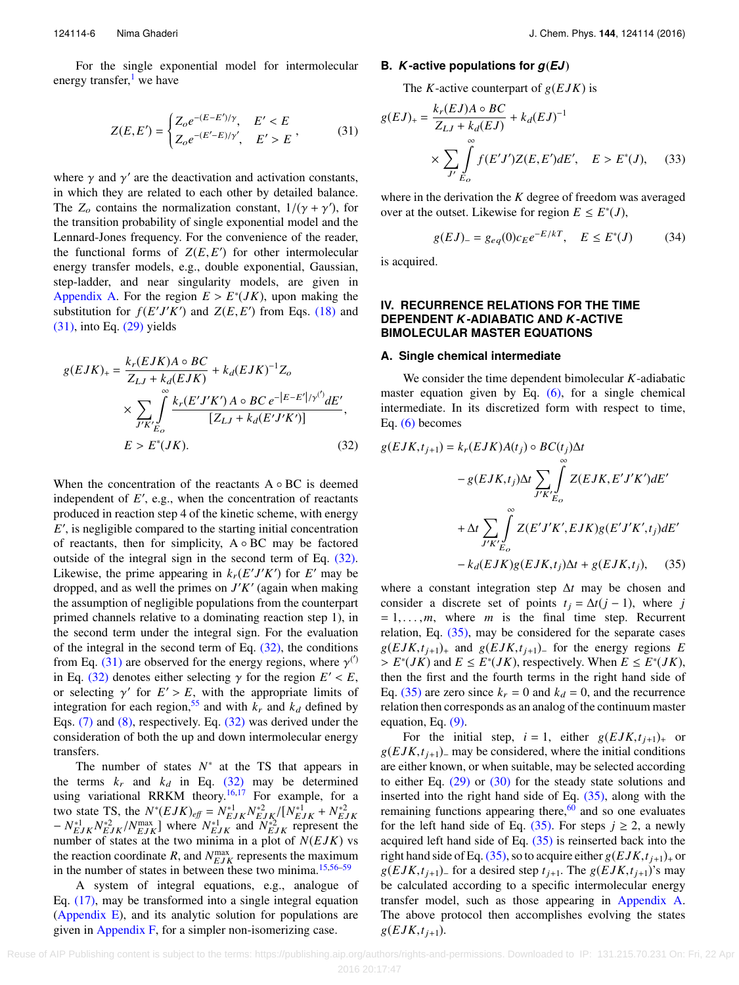For the single exponential model for intermolecular energy transfer, $\frac{1}{1}$  $\frac{1}{1}$  $\frac{1}{1}$  we have

$$
Z(E, E') = \begin{cases} Z_o e^{-(E - E')/\gamma}, & E' < E \\ Z_o e^{-(E' - E)/\gamma'}, & E' > E \end{cases} \tag{31}
$$

where  $\gamma$  and  $\gamma'$  are the deactivation and activation constants,<br>in which they are related to each other by detailed balance in which they are related to each other by detailed balance. The  $Z_0$  contains the normalization constant,  $1/(\gamma + \gamma')$ , for the transition probability of single exponential model and the the transition probability of single exponential model and the Lennard-Jones frequency. For the convenience of the reader, the functional forms of  $Z(E, E')$  for other intermolecular<br>energy transfer models e.g. double exponential Gaussian energy transfer models, e.g., double exponential, Gaussian, step-ladder, and near singularity models, are given in [Appendix A.](#page-11-0) For the region  $E > E^*(JK)$ , upon making the substitution for  $f(E'/K')$  and  $Z(E, E')$  from Eqs. (18) and substitution for  $f(E'J'K')$  and  $Z(E, E')$  from Eqs. [\(18\)](#page-4-7) and (31) into Eq. (29) vields [\(31\),](#page-6-1) into Eq. [\(29\)](#page-5-4) yields

$$
g(EJK)_{+} = \frac{k_r(EJK)A \circ BC}{Z_{LJ} + k_d(EJK)} + k_d(EJK)^{-1}Z_o
$$
  
 
$$
\times \sum_{J'K'} \int_{E_O}^{\infty} \frac{k_r(E'J'K')A \circ BC \ e^{-|E-E'|/\gamma^{(')}}dE'}{[Z_{LJ} + k_d(E'J'K')]},
$$
  
 
$$
E > E^*(JK).
$$
 (32)

When the concentration of the reactants  $A \circ BC$  is deemed independent of  $E'$ , e.g., when the concentration of reactants produced in reaction step 4 of the kinetic scheme, with energy *E* ′ , is negligible compared to the starting initial concentration of reactants, then for simplicity, A ◦ BC may be factored outside of the integral sign in the second term of Eq. [\(32\).](#page-6-2) Likewise, the prime appearing in  $k_r(E'J'K')$  for *E'* may be dropped, and as well the primes on *J* ′*K* ′ (again when making the assumption of negligible populations from the counterpart primed channels relative to a dominating reaction step 1), in the second term under the integral sign. For the evaluation of the integral in the second term of Eq.  $(32)$ , the conditions from Eq. [\(31\)](#page-6-1) are observed for the energy regions, where  $\gamma^{(')}$ <br>in Eq. (32) denotes either selecting  $\gamma$  for the region  $F' \leq F$ in Eq. [\(32\)](#page-6-2) denotes either selecting  $\gamma$  for the region  $E' < E$ ,<br>or selecting  $\gamma'$  for  $F' > F$ , with the appropriate limits of or selecting  $\gamma'$  for  $E' > E$ , with the appropriate limits of integration for each region <sup>55</sup> and with  $k$  and  $k$ , defined by integration for each region,<sup>[55](#page-17-13)</sup> and with  $k_r$  and  $k_d$  defined by Eqs. [\(7\)](#page-3-5) and [\(8\),](#page-3-6) respectively. Eq. [\(32\)](#page-6-2) was derived under the consideration of both the up and down intermolecular energy transfers.

The number of states  $N^*$  at the TS that appears in the terms  $k_r$  and  $k_d$  in Eq. [\(32\)](#page-6-2) may be determined using variational RRKM theory.<sup>[16,](#page-16-14)[17](#page-16-10)</sup> For example, for a two state TS, the  $N^*(EJK)_{eff} = N^*_{EJK} N^*_{EJK} / [N^*_{EJK} + N^*_{EJK} - N^*_{EJK} N^*_{EJK} N^*_{EJK}]$  where  $N^*_{EJK}$  and  $N^*_{EJK}$  represent the number of states at the two minima in a plot of  $N(EJK)$  vs number of states at the two minima in a plot of *N*(*E JK*) vs the reaction coordinate *R*, and  $N_{EJK}^{\text{max}}$  represents the maximum in the number of states in between these two minima.[15](#page-16-9)[,56](#page-17-14)[–59](#page-17-15)

A system of integral equations, e.g., analogue of Eq. [\(17\),](#page-4-3) may be transformed into a single integral equation [\(Appendix E\)](#page-14-0), and its analytic solution for populations are given in [Appendix F,](#page-14-1) for a simpler non-isomerizing case.

#### **B.** *K***-active populations for** *g*(*EJ*)

The *K*-active counterpart of  $g(EJK)$  is

<span id="page-6-1"></span>
$$
g(EJ)_+ = \frac{k_r(EJ)A \circ BC}{Z_{LJ} + k_d(EJ)} + k_d(EJ)^{-1}
$$
  
 
$$
\times \sum_{J'} \int_{E_O}^{\infty} f(E'J')Z(E,E')dE', \quad E > E^*(J), \quad (33)
$$

where in the derivation the *K* degree of freedom was averaged over at the outset. Likewise for region  $E \leq E^*(J)$ ,

<span id="page-6-4"></span>
$$
g(EJ)_{-} = g_{eq}(0)c_{E}e^{-E/kT}, \quad E \le E^{*}(J) \tag{34}
$$

<span id="page-6-0"></span>is acquired.

#### **IV. RECURRENCE RELATIONS FOR THE TIME DEPENDENT** *K***-ADIABATIC AND** *K***-ACTIVE BIMOLECULAR MASTER EQUATIONS**

#### **A. Single chemical intermediate**

We consider the time dependent bimolecular *K*-adiabatic master equation given by Eq.  $(6)$ , for a single chemical intermediate. In its discretized form with respect to time, Eq. [\(6\)](#page-3-1) becomes

<span id="page-6-2"></span>
$$
g(EJK, t_{j+1}) = k_r(EJK)A(t_j) \circ BC(t_j)\Delta t
$$
  

$$
- g(EJK, t_j)\Delta t \sum_{J'K'} \int_{C'}^{\infty} Z(EJK, E'J'K')dE'
$$
  

$$
+ \Delta t \sum_{J'K'} \int_{E_O}^{\infty} Z(E'J'K', EJK)g(E'J'K', t_j)dE'
$$
  

$$
- k_d(EJK)g(EJK, t_j)\Delta t + g(EJK, t_j), \quad (35)
$$

<span id="page-6-3"></span>where a constant integration step ∆*t* may be chosen and consider a discrete set of points  $t_i = \Delta t(j-1)$ , where *j*  $= 1, \ldots, m$ , where *m* is the final time step. Recurrent relation, Eq.  $(35)$ , may be considered for the separate cases  $g(EJK,t_{j+1})$ <sub>+</sub> and  $g(EJK,t_{j+1})$ <sub>-</sub> for the energy regions *E*  $E^*(JK)$  and  $E \le E^*(JK)$ , respectively. When  $E \le E^*(JK)$ , then the first and the fourth terms in the right hand side of then the first and the fourth terms in the right hand side of Eq. [\(35\)](#page-6-3) are zero since  $k_r = 0$  and  $k_d = 0$ , and the recurrence relation then corresponds as an analog of the continuum master equation, Eq. [\(9\).](#page-3-0)

For the initial step,  $i = 1$ , either  $g(EJK, t_{j+1})$  or  $g(EJK,t_{j+1})$ <sub>−</sub> may be considered, where the initial conditions are either known, or when suitable, may be selected according to either Eq.  $(29)$  or  $(30)$  for the steady state solutions and inserted into the right hand side of Eq. [\(35\),](#page-6-3) along with the remaining functions appearing there,  $60$  and so one evaluates for the left hand side of Eq. [\(35\).](#page-6-3) For steps  $j \ge 2$ , a newly acquired left hand side of Eq.  $(35)$  is reinserted back into the right hand side of Eq. [\(35\),](#page-6-3) so to acquire either  $g(EJK,t_{i+1})_+$  or  $g(EJK,t_{i+1})$ <sub>−</sub> for a desired step  $t_{i+1}$ . The  $g(EJK,t_{i+1})$ 's may be calculated according to a specific intermolecular energy transfer model, such as those appearing in [Appendix A.](#page-11-0) The above protocol then accomplishes evolving the states  $g(EJK,t_{i+1}).$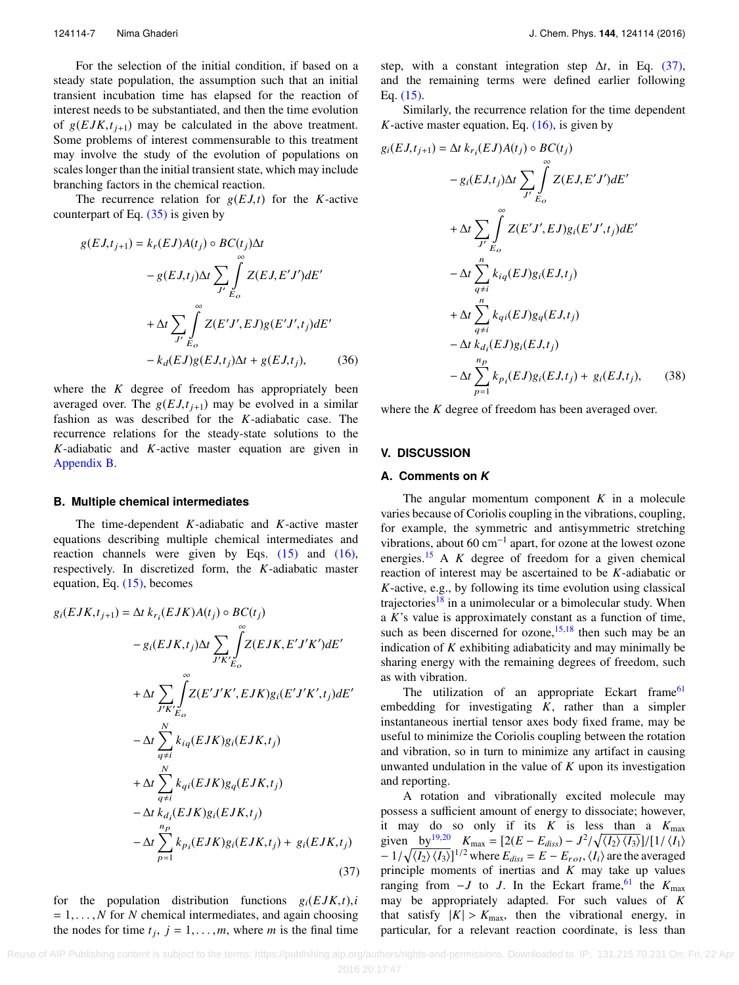For the selection of the initial condition, if based on a steady state population, the assumption such that an initial transient incubation time has elapsed for the reaction of interest needs to be substantiated, and then the time evolution of  $g(EJK,t_{i+1})$  may be calculated in the above treatment. Some problems of interest commensurable to this treatment may involve the study of the evolution of populations on scales longer than the initial transient state, which may include branching factors in the chemical reaction.

The recurrence relation for  $g(EJ,t)$  for the *K*-active counterpart of Eq.  $(35)$  is given by

$$
g(EJ,t_{j+1}) = k_r(EJ)A(t_j) \circ BC(t_j)\Delta t
$$
  

$$
- g(EJ,t_j)\Delta t \sum_{J'} \int_{E_O}^{\infty} Z(EJ,E'J')dE'
$$
  

$$
+ \Delta t \sum_{J'} \int_{E_O}^{\infty} Z(E'J',EJ)g(E'J',t_j)dE'
$$
  

$$
- k_d(EJ)g(EJ,t_j)\Delta t + g(EJ,t_j), \qquad (36)
$$

where the *K* degree of freedom has appropriately been averaged over. The  $g(EJ, t<sub>j+1</sub>)$  may be evolved in a similar fashion as was described for the *K*-adiabatic case. The recurrence relations for the steady-state solutions to the *K*-adiabatic and *K*-active master equation are given in [Appendix B.](#page-12-1)

#### **B. Multiple chemical intermediates**

The time-dependent *K*-adiabatic and *K*-active master equations describing multiple chemical intermediates and reaction channels were given by Eqs.  $(15)$  and  $(16)$ , respectively. In discretized form, the *K*-adiabatic master equation, Eq. [\(15\),](#page-4-1) becomes

$$
g_i(EJK, t_{j+1}) = \Delta t \ k_{r_i}(EJK)A(t_j) \circ BC(t_j)
$$
  
\n
$$
- g_i(EJK, t_j)\Delta t \sum_{J'K'} \int_{E_O}^{\infty} Z(EJK, E'J'K')dE'
$$
  
\n
$$
+ \Delta t \sum_{J'K'} \int_{E_O}^{\infty} Z(E'J'K', EJK)g_i(E'J'K', t_j)dE'
$$
  
\n
$$
- \Delta t \sum_{q \neq i}^{N} k_{iq}(EJK)g_i(EJK, t_j)
$$
  
\n
$$
+ \Delta t \sum_{q \neq i}^{N} k_{qi}(EJK)g_q(EJK, t_j)
$$
  
\n
$$
- \Delta t \sum_{p=1}^{N} k_{qi}(EJK)g_i(EJK, t_j)
$$
  
\n
$$
- \Delta t \sum_{p=1}^{n_p} k_{p_i}(EJK)g_i(EJK, t_j) + g_i(EJK, t_j)
$$
  
\n(37)

for the population distribution functions  $g_i(EJK,t),i$  $= 1, \ldots, N$  for *N* chemical intermediates, and again choosing the nodes for time  $t_j$ ,  $j = 1, \ldots, m$ , where *m* is the final time

step, with a constant integration step ∆*t*, in Eq. [\(37\),](#page-7-1) and the remaining terms were defined earlier following Eq. [\(15\).](#page-4-1)

Similarly, the recurrence relation for the time dependent *K*-active master equation, Eq.  $(16)$ , is given by

$$
g_i(EJ, t_{j+1}) = \Delta t \, k_{r_i}(EJ)A(t_j) \circ BC(t_j)
$$
  
\n
$$
- g_i(EJ, t_j)\Delta t \sum_{J'} \int_{E_O}^{\infty} Z(EJ, E'J')dE'
$$
  
\n
$$
+ \Delta t \sum_{J'} \int_{E_O}^{\infty} Z(E'J', EJ)g_i(E'J', t_j)dE'
$$
  
\n
$$
- \Delta t \sum_{q \neq i}^{n} k_{iq}(EJ)g_i(EJ, t_j)
$$
  
\n
$$
+ \Delta t \sum_{q \neq i}^{n} k_{qi}(EJ)g_q(EJ, t_j)
$$
  
\n
$$
- \Delta t \, k_{d_i}(EJ)g_i(EJ, t_j)
$$
  
\n
$$
- \Delta t \sum_{p=1}^{n_p} k_{pi}(EJ)g_i(EJ, t_j) + g_i(EJ, t_j), \qquad (38)
$$

<span id="page-7-2"></span><span id="page-7-0"></span>where the *K* degree of freedom has been averaged over.

#### **V. DISCUSSION**

#### **A. Comments on** *K*

The angular momentum component *K* in a molecule varies because of Coriolis coupling in the vibrations, coupling, for example, the symmetric and antisymmetric stretching vibrations, about 60  $\text{cm}^{-1}$  apart, for ozone at the lowest ozone energies.[15](#page-16-9) A *K* degree of freedom for a given chemical reaction of interest may be ascertained to be *K*-adiabatic or *K*-active, e.g., by following its time evolution using classical trajectories<sup>[18](#page-16-11)</sup> in a unimolecular or a bimolecular study. When a *K*'s value is approximately constant as a function of time, such as been discerned for  $\alpha$ zone,<sup>[15](#page-16-9)[,18](#page-16-11)</sup> then such may be an indication of *K* exhibiting adiabaticity and may minimally be sharing energy with the remaining degrees of freedom, such as with vibration.

The utilization of an appropriate Eckart frame<sup>[61](#page-17-17)</sup> embedding for investigating *K*, rather than a simpler instantaneous inertial tensor axes body fixed frame, may be useful to minimize the Coriolis coupling between the rotation and vibration, so in turn to minimize any artifact in causing unwanted undulation in the value of *K* upon its investigation and reporting.

<span id="page-7-1"></span>A rotation and vibrationally excited molecule may possess a sufficient amount of energy to dissociate; however, it may do so only if its *K* is less than a *K*max given by<sup>[19,](#page-16-13)[20](#page-16-12)</sup>  $K_{\text{max}} = \left[2(E - E_{\text{diss}}) - J^2/\sqrt{\langle I_2 \rangle \langle I_3 \rangle}\right] / \left[1/\langle I_1 \rangle - 1/\sqrt{\langle I_2 \rangle \langle I_3 \rangle}\right]$  $-1/\sqrt{\langle I_2 \rangle \langle I_3 \rangle}$ ]<sup>1/2</sup> where  $E_{diss} = E - E_{rot}, \langle I_i \rangle$  are the averaged<br>principle, moments of inertias and *K* may take up values principle moments of inertias and *K* may take up values ranging from  $-J$  to *J*. In the Eckart frame,<sup>[61](#page-17-17)</sup> the  $K_{\text{max}}$ may be appropriately adapted. For such values of *K* that satisfy  $|K| > K_{\text{max}}$ , then the vibrational energy, in particular, for a relevant reaction coordinate, is less than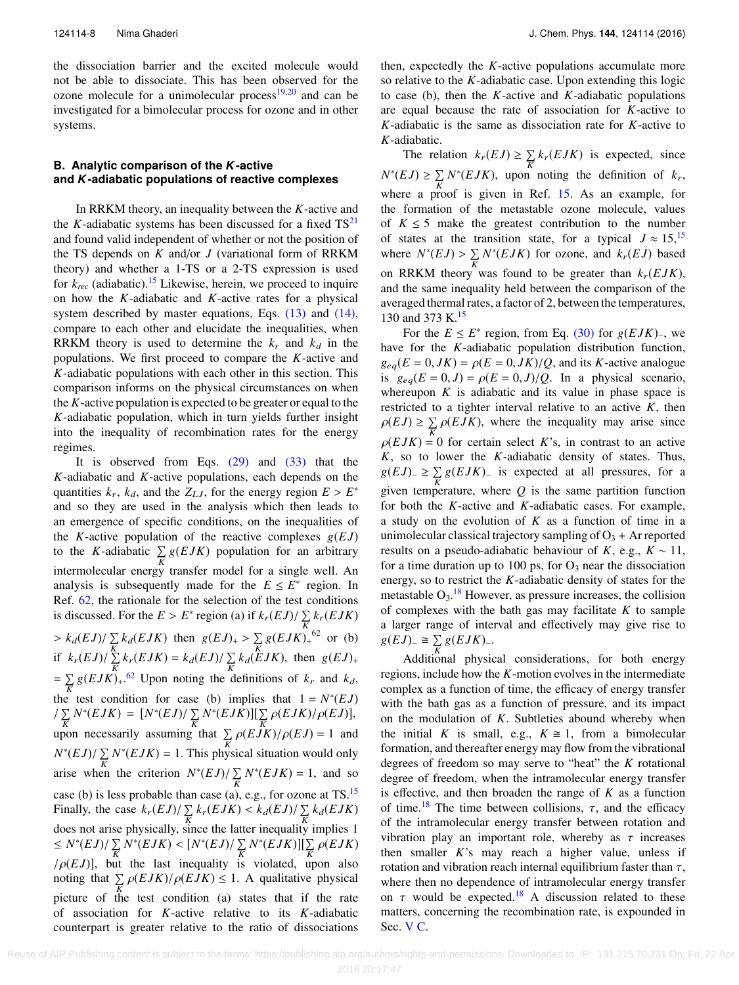the dissociation barrier and the excited molecule would not be able to dissociate. This has been observed for the ozone molecule for a unimolecular process $19,20$  $19,20$  and can be investigated for a bimolecular process for ozone and in other systems.

## **B. Analytic comparison of the** *K***-active and** *K***-adiabatic populations of reactive complexes**

In RRKM theory, an inequality between the *K*-active and the *K*-adiabatic systems has been discussed for a fixed  $TS^{21}$  $TS^{21}$  $TS^{21}$ and found valid independent of whether or not the position of the TS depends on *K* and/or *J* (variational form of RRKM theory) and whether a 1-TS or a 2-TS expression is used for  $k_{rec}$  (adiabatic).<sup>[15](#page-16-9)</sup> Likewise, herein, we proceed to inquire on how the *K*-adiabatic and *K*-active rates for a physical system described by master equations, Eqs. [\(13\)](#page-3-3) and [\(14\),](#page-3-4) compare to each other and elucidate the inequalities, when RRKM theory is used to determine the  $k_r$  and  $k_d$  in the populations. We first proceed to compare the *K*-active and *K*-adiabatic populations with each other in this section. This comparison informs on the physical circumstances on when the *K*-active population is expected to be greater or equal to the *K*-adiabatic population, which in turn yields further insight into the inequality of recombination rates for the energy regimes.

It is observed from Eqs.  $(29)$  and  $(33)$  that the *K*-adiabatic and *K*-active populations, each depends on the quantities  $k_r$ ,  $k_d$ , and the  $Z_{LJ}$ , for the energy region  $E > E^*$ <br>and so they are used in the analysis which then leads to and so they are used in the analysis which then leads to an emergence of specific conditions, on the inequalities of the *K*-active population of the reactive complexes  $g(EJ)$ to the *K*-adiabatic  $\sum_{K} g(EJK)$  population for an arbitrary intermolecular energy transfer model for a single well. An analysis is subsequently made for the  $E \leq E^*$  region. In Ref. [62,](#page-17-18) the rationale for the selection of the test conditions is discussed. For the  $E > E^*$  region (a) if  $k_r(EJ)/\sum_{K} k_r(EJK)$  $\frac{K}{k}$   $k_e(EJ)/\sum_{k} k_d(EJK)$  then  $g(EJ)_+ > \sum_{k} g(EJK)_+^{K}$  or (b) if  $k_r(EJ)/\sum_{K}^{K} k_r(EJK) = k_d(EJ)/\sum_{K} k_d(EJK)$ , then  $g(EJ)_+$  $=\sum_{K} g(EJK)_{+}^{62}$  $=\sum_{K} g(EJK)_{+}^{62}$  $=\sum_{K} g(EJK)_{+}^{62}$  Upon noting the definitions of  $k_r$  and  $k_d$ , the test condition for case (b) implies that  $1 = N^*(EJ)$  $\frac{1}{K} \sum_{K} N^{*}(EJK) = [N^{*}(EJ)/\sum_{K} N^{*}(EJK)][\sum_{K} \rho(EJK)/\rho(EJ)],$ upon necessarily assuming that  $\sum_{K} \rho(E \hat{J}K)/\rho(EJ) = 1$  and  $N^*(EJ)/\sum_{K} N^*(EJK) = 1$ . This physical situation would only arise when the criterion  $N^*(EJ)/\sum_K N^*(EJK) = 1$ , and so case (b) is less probable than case (a), e.g., for ozone at TS.[15](#page-16-9) Finally, the case  $k_r(EJ)/\sum_K k_r(EJK) < k_d(EJ)/\sum_K k_d(EJK)$ does not arise physically, since the latter inequality implies 1  $\leq N^*(EJ)/\sum_{K} N^*(EJK) < [N^*(EJ)/\sum_{K} N^*(EJK)][\sum_{K} \rho(EJK)]$  $/\rho(EJ)$ ], but the last inequality is violated, upon also noting that  $\sum_{K} \rho(EJK)/\rho(EJK) \leq 1$ . A qualitative physical picture of the test condition (a) states that if the rate of association for *K*-active relative to its *K*-adiabatic counterpart is greater relative to the ratio of dissociations

then, expectedly the *K*-active populations accumulate more so relative to the *K*-adiabatic case. Upon extending this logic to case (b), then the *K*-active and *K*-adiabatic populations are equal because the rate of association for *K*-active to *K*-adiabatic is the same as dissociation rate for *K*-active to *K*-adiabatic.

The relation  $k_r(EJ) \ge \sum_K k_r(EJK)$  is expected, since  $N^*(EJ) \ge \sum_K N^*(EJK)$ , upon noting the definition of  $k_r$ , where a proof is given in Ref. [15.](#page-16-9) As an example, for the formation of the metastable ozone molecule, values of  $K \leq 5$  make the greatest contribution to the number of states at the transition state, for a typical  $J \approx 15$  $J \approx 15$ , <sup>15</sup> where  $N^*(EJ) > \sum_{K} N^*(EJK)$  for ozone, and  $k_r(EJ)$  based on RRKM theory was found to be greater than  $k_r(EJK)$ , and the same inequality held between the comparison of the averaged thermal rates, a factor of 2, between the temperatures, 130 and 373 K.<sup>[15](#page-16-9)</sup>

For the  $E \leq E^*$  region, from Eq. [\(30\)](#page-5-5) for  $g(EJK)$ <sub>−</sub>, we for the *K*-adiabatic population distribution function have for the *K*-adiabatic population distribution function,  $g_{eq}(E = 0, JK) = \rho(E = 0, JK)/Q$ , and its *K*-active analogue is  $g_{eq}(E = 0, J) = \rho(E = 0, J)/Q$ . In a physical scenario, whereupon  $K$  is adiabatic and its value in phase space is restricted to a tighter interval relative to an active *K*, then  $\rho(EJ) \ge \sum_{K} \rho(EJK)$ , where the inequality may arise since  $\rho(EJK) = 0$  for certain select *K*'s, in contrast to an active *K*, so to lower the *K*-adiabatic density of states. Thus,  $g(EJ)$ <sub>−</sub> ≥  $\sum_{K} g(EJK)$ <sub>−</sub> is expected at all pressures, for a given temperature, where  $Q$  is the same partition function for both the *K*-active and *K*-adiabatic cases. For example, a study on the evolution of *K* as a function of time in a unimolecular classical trajectory sampling of  $O_3 +$  Ar reported results on a pseudo-adiabatic behaviour of *K*, e.g.,  $K \sim 11$ , for a time duration up to 100 ps, for  $O_3$  near the dissociation energy, so to restrict the *K*-adiabatic density of states for the metastable  $O_3$ .<sup>[18](#page-16-11)</sup> However, as pressure increases, the collision of complexes with the bath gas may facilitate *K* to sample a larger range of interval and effectively may give rise to  $g(EJ)$ <sup>*\_*</sup>  $\cong$   $\sum_{K} g(EJK)$ <sup>*\_\_*</sup>.

<span id="page-8-0"></span> $K$  Additional physical considerations, for both energy regions, include how the *K*-motion evolves in the intermediate complex as a function of time, the efficacy of energy transfer with the bath gas as a function of pressure, and its impact on the modulation of *K*. Subtleties abound whereby when the initial *K* is small, e.g.,  $K \cong 1$ , from a bimolecular formation, and thereafter energy may flow from the vibrational degrees of freedom so may serve to "heat" the *K* rotational degree of freedom, when the intramolecular energy transfer is effective, and then broaden the range of *K* as a function of time.<sup>[18](#page-16-11)</sup> The time between collisions,  $\tau$ , and the efficacy of the intramolecular energy transfer between rotation and vibration play an important role, whereby as  $\tau$  increases then smaller *K*'s may reach a higher value, unless if rotation and vibration reach internal equilibrium faster than  $\tau$ , where then no dependence of intramolecular energy transfer on  $\tau$  would be expected.<sup>[18](#page-16-11)</sup> A discussion related to these matters, concerning the recombination rate, is expounded in Sec. [V C.](#page-8-0)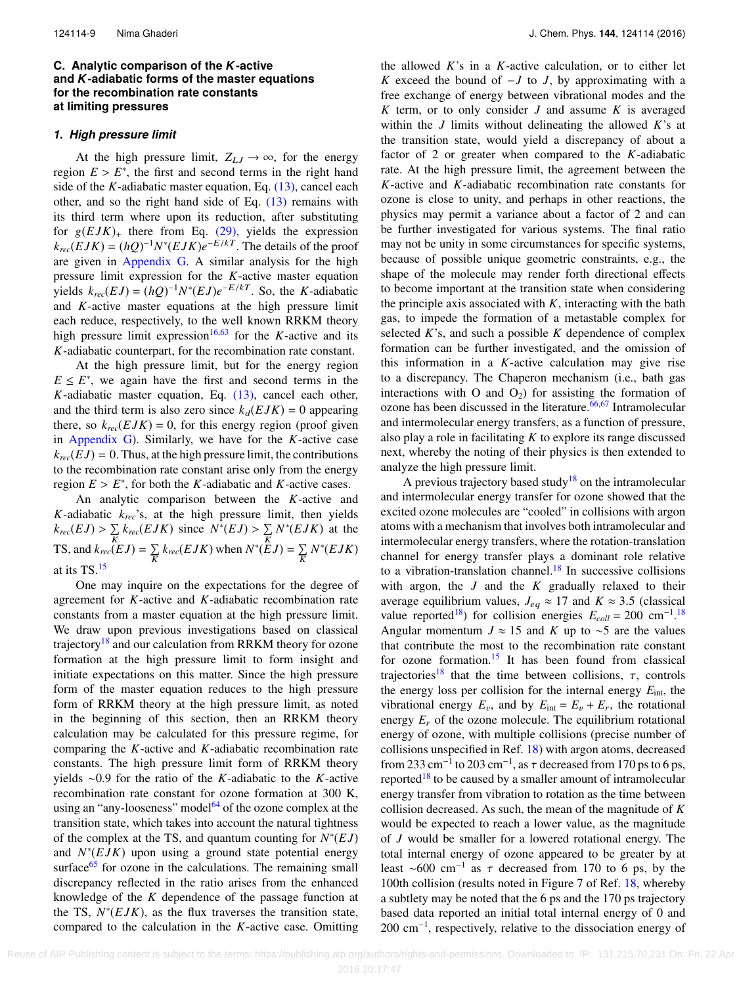## **C. Analytic comparison of the** *K***-active and** *K***-adiabatic forms of the master equations for the recombination rate constants at limiting pressures**

#### *1. High pressure limit*

At the high pressure limit,  $Z_{LJ} \rightarrow \infty$ , for the energy region  $E > E^*$ , the first and second terms in the right hand<br>side of the *K*-adjabatic master equation Eq. (13) cancel each side of the *K*-adiabatic master equation, Eq. [\(13\),](#page-3-3) cancel each other, and so the right hand side of Eq. [\(13\)](#page-3-3) remains with its third term where upon its reduction, after substituting for  $g(EJK)$ <sub>+</sub> there from Eq. [\(29\),](#page-5-4) yields the expression  $k_{rec}(EJK) = (hQ)^{-1}N^*(EJK)e^{-E/kT}$ . The details of the proof are given in [Appendix G.](#page-15-0) A similar analysis for the high pressure limit expression for the *K*-active master equation yields  $k_{rec}(EJ) = (hQ)^{-1}N^*(EJ)e^{-E/kT}$ . So, the *K*-adiabatic and *K*-active master equations at the high pressure limit each reduce, respectively, to the well known RRKM theory high pressure limit expression<sup>[16](#page-16-14)[,63](#page-17-19)</sup> for the *K*-active and its *K*-adiabatic counterpart, for the recombination rate constant.

At the high pressure limit, but for the energy region  $E \leq E^*$ , we again have the first and second terms in the *K*-adiabatic master equation, Eq. [\(13\),](#page-3-3) cancel each other, and the third term is also zero since  $k_d(EJK) = 0$  appearing there, so  $k_{rec}(EJK) = 0$ , for this energy region (proof given in [Appendix G\)](#page-15-0). Similarly, we have for the *K*-active case  $k_{rec}(EJ) = 0$ . Thus, at the high pressure limit, the contributions to the recombination rate constant arise only from the energy region  $E > E^*$ , for both the *K*-adiabatic and *K*-active cases.<br>An analytic comparison between the *K*-active and

An analytic comparison between the *K*-active and *K*-adiabatic *krec*'s, at the high pressure limit, then yields  $k_{rec}(EJ) > \sum_{K} k_{rec}(EJK)$  since  $N^*(EJ) > \sum_{K} N^*(EJK)$  at the TS, and  $k_{rec}(EJ) = \sum_{K} k_{rec}(EJK)$  when  $N^*(EJ) = \sum_{K} N^*(EJK)$ at its TS.[15](#page-16-9)

One may inquire on the expectations for the degree of agreement for *K*-active and *K*-adiabatic recombination rate constants from a master equation at the high pressure limit. We draw upon previous investigations based on classical trajectory<sup>[18](#page-16-11)</sup> and our calculation from RRKM theory for ozone formation at the high pressure limit to form insight and initiate expectations on this matter. Since the high pressure form of the master equation reduces to the high pressure form of RRKM theory at the high pressure limit, as noted in the beginning of this section, then an RRKM theory calculation may be calculated for this pressure regime, for comparing the *K*-active and *K*-adiabatic recombination rate constants. The high pressure limit form of RRKM theory yields ∼0.9 for the ratio of the *K*-adiabatic to the *K*-active recombination rate constant for ozone formation at 300 K, using an "any-looseness" model $64$  of the ozone complex at the transition state, which takes into account the natural tightness of the complex at the TS, and quantum counting for  $N^*(EJ)$ and  $N^*(EJK)$  upon using a ground state potential energy surface $65$  for ozone in the calculations. The remaining small discrepancy reflected in the ratio arises from the enhanced knowledge of the *K* dependence of the passage function at the TS,  $N^*(EJK)$ , as the flux traverses the transition state, compared to the calculation in the *K*-active case. Omitting

the allowed *K*'s in a *K*-active calculation, or to either let *K* exceed the bound of −*J* to *J*, by approximating with a free exchange of energy between vibrational modes and the *K* term, or to only consider *J* and assume *K* is averaged within the *J* limits without delineating the allowed *K*'s at the transition state, would yield a discrepancy of about a factor of 2 or greater when compared to the *K*-adiabatic rate. At the high pressure limit, the agreement between the *K*-active and *K*-adiabatic recombination rate constants for ozone is close to unity, and perhaps in other reactions, the physics may permit a variance about a factor of 2 and can be further investigated for various systems. The final ratio may not be unity in some circumstances for specific systems, because of possible unique geometric constraints, e.g., the shape of the molecule may render forth directional effects to become important at the transition state when considering the principle axis associated with *K*, interacting with the bath gas, to impede the formation of a metastable complex for selected  $K$ 's, and such a possible  $K$  dependence of complex formation can be further investigated, and the omission of this information in a *K*-active calculation may give rise to a discrepancy. The Chaperon mechanism (i.e., bath gas interactions with O and  $O_2$ ) for assisting the formation of ozone has been discussed in the literature.<sup>[66,](#page-17-22)[67](#page-17-23)</sup> Intramolecular and intermolecular energy transfers, as a function of pressure, also play a role in facilitating *K* to explore its range discussed next, whereby the noting of their physics is then extended to analyze the high pressure limit.

A previous trajectory based study<sup>[18](#page-16-11)</sup> on the intramolecular and intermolecular energy transfer for ozone showed that the excited ozone molecules are "cooled" in collisions with argon atoms with a mechanism that involves both intramolecular and intermolecular energy transfers, where the rotation-translation channel for energy transfer plays a dominant role relative to a vibration-translation channel.<sup>[18](#page-16-11)</sup> In successive collisions with argon, the *J* and the *K* gradually relaxed to their average equilibrium values,  $J_{eq} \approx 17$  and  $K \approx 3.5$  (classical value reported<sup>[18](#page-16-11)</sup>) for collision energies  $E_{coll} = 200 \text{ cm}^{-1}$ .<sup>18</sup> Angular momentum  $J \approx 15$  and *K* up to ~5 are the values that contribute the most to the recombination rate constant for ozone formation.<sup>[15](#page-16-9)</sup> It has been found from classical trajectories<sup>[18](#page-16-11)</sup> that the time between collisions,  $\tau$ , controls the energy loss per collision for the internal energy *E*int, the vibrational energy  $E_v$ , and by  $E_{int} = E_v + E_r$ , the rotational energy  $E_r$  of the ozone molecule. The equilibrium rotational energy of ozone, with multiple collisions (precise number of collisions unspecified in Ref. [18\)](#page-16-11) with argon atoms, decreased from 233 cm<sup>-1</sup> to 203 cm<sup>-1</sup>, as  $\tau$  decreased from 170 ps to 6 ps,<br>reported<sup>18</sup> to be caused by a smaller amount of intramolecular reported<sup>[18](#page-16-11)</sup> to be caused by a smaller amount of intramolecular energy transfer from vibration to rotation as the time between collision decreased. As such, the mean of the magnitude of *K* would be expected to reach a lower value, as the magnitude of *J* would be smaller for a lowered rotational energy. The total internal energy of ozone appeared to be greater by at least ~600 cm<sup>-1</sup> as  $\tau$  decreased from 170 to 6 ps, by the 100th collision (results noted in Figure 7 of Ref. 18, whereby 100th collision (results noted in Figure 7 of Ref. [18,](#page-16-11) whereby a subtlety may be noted that the 6 ps and the 170 ps trajectory based data reported an initial total internal energy of 0 and 200 cm<sup>-1</sup>, respectively, relative to the dissociation energy of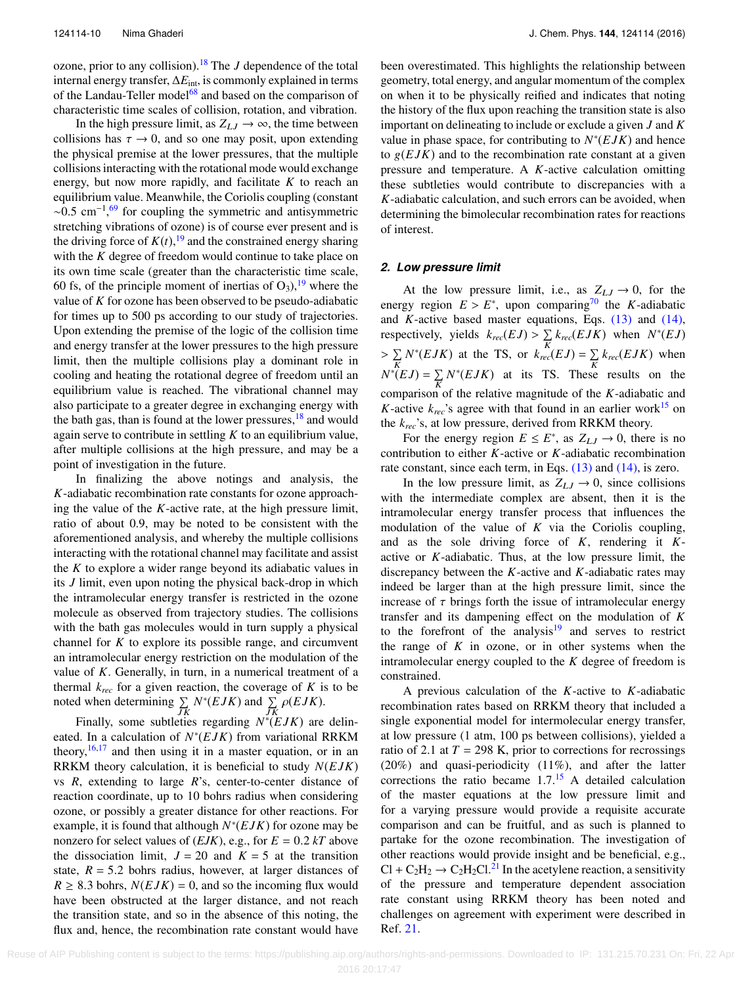ozone, prior to any collision).[18](#page-16-11) The *J* dependence of the total internal energy transfer, ∆*E*int, is commonly explained in terms of the Landau-Teller model<sup>[68](#page-17-24)</sup> and based on the comparison of characteristic time scales of collision, rotation, and vibration.

In the high pressure limit, as  $Z_{LJ} \rightarrow \infty$ , the time between collisions has  $\tau \to 0$ , and so one may posit, upon extending the physical premise at the lower pressures, that the multiple collisions interacting with the rotational mode would exchange energy, but now more rapidly, and facilitate *K* to reach an equilibrium value. Meanwhile, the Coriolis coupling (constant  $\sim$ 0.5 cm<sup>-1</sup>,<sup>[69](#page-17-25)</sup> for coupling the symmetric and antisymmetric stretching vibrations of ozone) is of course ever present and is the driving force of  $K(t)$ , <sup>[19](#page-16-13)</sup> and the constrained energy sharing with the *K* degree of freedom would continue to take place on its own time scale (greater than the characteristic time scale, 60 fs, of the principle moment of inertias of  $O_3$ , <sup>[19](#page-16-13)</sup> where the value of *K* for ozone has been observed to be pseudo-adiabatic for times up to 500 ps according to our study of trajectories. Upon extending the premise of the logic of the collision time and energy transfer at the lower pressures to the high pressure limit, then the multiple collisions play a dominant role in cooling and heating the rotational degree of freedom until an equilibrium value is reached. The vibrational channel may also participate to a greater degree in exchanging energy with the bath gas, than is found at the lower pressures,  $^{18}$  $^{18}$  $^{18}$  and would again serve to contribute in settling *K* to an equilibrium value, after multiple collisions at the high pressure, and may be a point of investigation in the future.

In finalizing the above notings and analysis, the *K*-adiabatic recombination rate constants for ozone approaching the value of the *K*-active rate, at the high pressure limit, ratio of about 0.9, may be noted to be consistent with the aforementioned analysis, and whereby the multiple collisions interacting with the rotational channel may facilitate and assist the *K* to explore a wider range beyond its adiabatic values in its *J* limit, even upon noting the physical back-drop in which the intramolecular energy transfer is restricted in the ozone molecule as observed from trajectory studies. The collisions with the bath gas molecules would in turn supply a physical channel for *K* to explore its possible range, and circumvent an intramolecular energy restriction on the modulation of the value of *K*. Generally, in turn, in a numerical treatment of a thermal  $k_{rec}$  for a given reaction, the coverage of  $K$  is to be noted when determining  $\sum_{j,K} N^*(EJK)$  and  $\sum_{j,K} \rho(EJK)$ .

Finally, some subtleties regarding  $N^*(EJK)$  are delineated. In a calculation of  $N^*(EJK)$  from variational RRKM theory,  $16,17$  $16,17$  and then using it in a master equation, or in an RRKM theory calculation, it is beneficial to study *N*(*E JK*) vs *R*, extending to large *R*'s, center-to-center distance of reaction coordinate, up to 10 bohrs radius when considering ozone, or possibly a greater distance for other reactions. For example, it is found that although  $N^*(EJK)$  for ozone may be nonzero for select values of  $(EJK)$ , e.g., for  $E = 0.2 kT$  above the dissociation limit,  $J = 20$  and  $K = 5$  at the transition state,  $R = 5.2$  bohrs radius, however, at larger distances of  $R \geq 8.3$  bohrs,  $N(EJK) = 0$ , and so the incoming flux would have been obstructed at the larger distance, and not reach the transition state, and so in the absence of this noting, the flux and, hence, the recombination rate constant would have

been overestimated. This highlights the relationship between geometry, total energy, and angular momentum of the complex on when it to be physically reified and indicates that noting the history of the flux upon reaching the transition state is also important on delineating to include or exclude a given *J* and *K* value in phase space, for contributing to  $N^*(EJK)$  and hence to  $g(EJK)$  and to the recombination rate constant at a given pressure and temperature. A *K*-active calculation omitting these subtleties would contribute to discrepancies with a *K*-adiabatic calculation, and such errors can be avoided, when determining the bimolecular recombination rates for reactions of interest.

#### *2. Low pressure limit*

At the low pressure limit, i.e., as  $Z_{LJ} \rightarrow 0$ , for the energy region  $E > E^*$ , upon comparing<sup>[70](#page-17-26)</sup> the *K*-adiabatic<br>and *K*-active based master equations. Eqs. (13) and (14) and *K*-active based master equations, Eqs. [\(13\)](#page-3-3) and [\(14\),](#page-3-4) respectively, yields  $k_{rec}(EJ) > \sum_{K} k_{rec}(EJK)$  when  $N^*(EJ)$ K  $\sum_{K} N^*(EJK)$  at the TS, or  $k_{rec}(EJ) = \sum_{K} k_{rec}(EJK)$  when  $N^*(EJ) = \sum_K N^*(EJK)$  at its TS. These results on the comparison of the relative magnitude of the *K*-adiabatic and *K*-active  $k_{rec}$ 's agree with that found in an earlier work<sup>[15](#page-16-9)</sup> on the *krec*'s, at low pressure, derived from RRKM theory.

For the energy region  $E \le E^*$ , as  $Z_{LJ} \to 0$ , there is no contribution to either *K*-active or *K*-adiabatic recombination rate constant, since each term, in Eqs. [\(13\)](#page-3-3) and [\(14\),](#page-3-4) is zero.

In the low pressure limit, as  $Z_{LJ} \rightarrow 0$ , since collisions with the intermediate complex are absent, then it is the intramolecular energy transfer process that influences the modulation of the value of *K* via the Coriolis coupling, and as the sole driving force of *K*, rendering it *K*active or *K*-adiabatic. Thus, at the low pressure limit, the discrepancy between the *K*-active and *K*-adiabatic rates may indeed be larger than at the high pressure limit, since the increase of  $\tau$  brings forth the issue of intramolecular energy transfer and its dampening effect on the modulation of *K* to the forefront of the analysis $19$  and serves to restrict the range of  $K$  in ozone, or in other systems when the intramolecular energy coupled to the *K* degree of freedom is constrained.

A previous calculation of the *K*-active to *K*-adiabatic recombination rates based on RRKM theory that included a single exponential model for intermolecular energy transfer, at low pressure (1 atm, 100 ps between collisions), yielded a ratio of 2.1 at  $T = 298$  K, prior to corrections for recrossings (20%) and quasi-periodicity (11%), and after the latter corrections the ratio became 1.7.[15](#page-16-9) A detailed calculation of the master equations at the low pressure limit and for a varying pressure would provide a requisite accurate comparison and can be fruitful, and as such is planned to partake for the ozone recombination. The investigation of other reactions would provide insight and be beneficial, e.g.,  $Cl + C_2H_2 \rightarrow C_2H_2Cl^{21}$  $Cl + C_2H_2 \rightarrow C_2H_2Cl^{21}$  $Cl + C_2H_2 \rightarrow C_2H_2Cl^{21}$  In the acetylene reaction, a sensitivity of the pressure and temperature dependent association rate constant using RRKM theory has been noted and challenges on agreement with experiment were described in Ref. [21.](#page-16-15)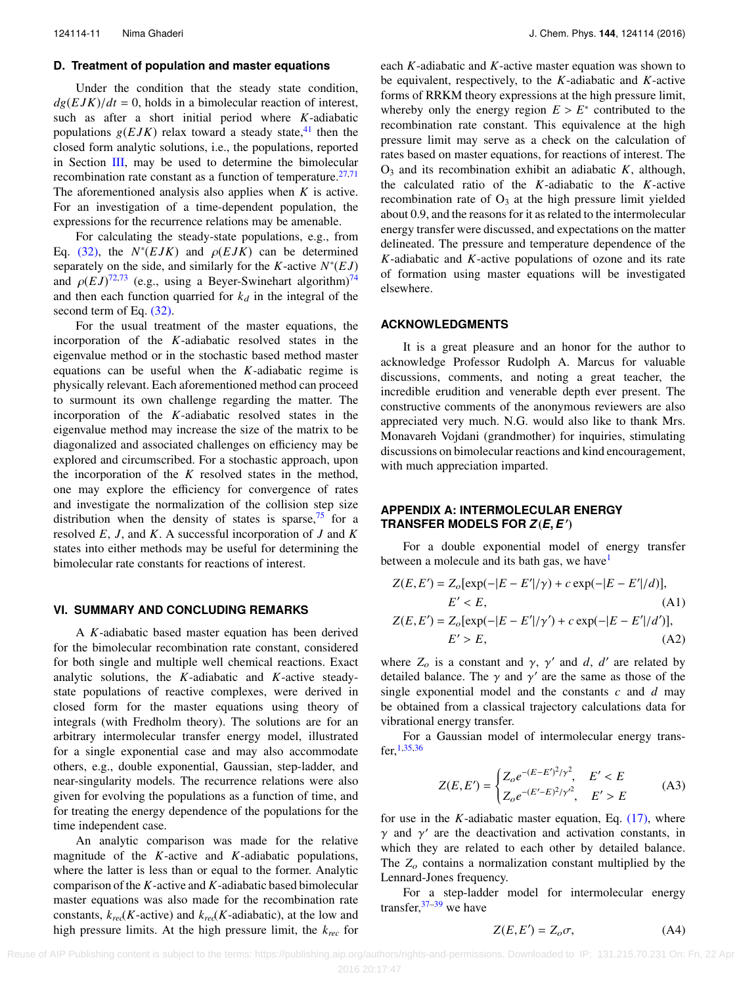#### **D. Treatment of population and master equations**

Under the condition that the steady state condition,  $dg(EJK)/dt = 0$ , holds in a bimolecular reaction of interest, such as after a short initial period where *K*-adiabatic populations  $g(EJK)$  relax toward a steady state,<sup>[41](#page-17-27)</sup> then the closed form analytic solutions, i.e., the populations, reported in Section [III,](#page-4-0) may be used to determine the bimolecular recombination rate constant as a function of temperature. $27,71$  $27,71$ The aforementioned analysis also applies when *K* is active. For an investigation of a time-dependent population, the expressions for the recurrence relations may be amenable.

For calculating the steady-state populations, e.g., from Eq. [\(32\),](#page-6-2) the  $N^*(EJK)$  and  $\rho(EJK)$  can be determined<br>separately on the side and similarly for the *K*-active  $N^*(F)$ separately on the side, and similarly for the *K*-active  $N^*(EJ)$ and  $\rho(EJ)^{72,73}$  $\rho(EJ)^{72,73}$  $\rho(EJ)^{72,73}$  $\rho(EJ)^{72,73}$  (e.g., using a Beyer-Swinehart algorithm)<sup>[74](#page-17-31)</sup><br>and then each function quarried for k, in the integral of the and then each function quarried for  $k_d$  in the integral of the second term of Eq. [\(32\).](#page-6-2)

For the usual treatment of the master equations, the incorporation of the *K*-adiabatic resolved states in the eigenvalue method or in the stochastic based method master equations can be useful when the *K*-adiabatic regime is physically relevant. Each aforementioned method can proceed to surmount its own challenge regarding the matter. The incorporation of the *K*-adiabatic resolved states in the eigenvalue method may increase the size of the matrix to be diagonalized and associated challenges on efficiency may be explored and circumscribed. For a stochastic approach, upon the incorporation of the *K* resolved states in the method, one may explore the efficiency for convergence of rates and investigate the normalization of the collision step size distribution when the density of states is sparse,  $\frac{75}{10}$  $\frac{75}{10}$  $\frac{75}{10}$  for a resolved *E*, *J*, and *K*. A successful incorporation of *J* and *K* states into either methods may be useful for determining the bimolecular rate constants for reactions of interest.

#### <span id="page-11-1"></span>**VI. SUMMARY AND CONCLUDING REMARKS**

A *K*-adiabatic based master equation has been derived for the bimolecular recombination rate constant, considered for both single and multiple well chemical reactions. Exact analytic solutions, the *K*-adiabatic and *K*-active steadystate populations of reactive complexes, were derived in closed form for the master equations using theory of integrals (with Fredholm theory). The solutions are for an arbitrary intermolecular transfer energy model, illustrated for a single exponential case and may also accommodate others, e.g., double exponential, Gaussian, step-ladder, and near-singularity models. The recurrence relations were also given for evolving the populations as a function of time, and for treating the energy dependence of the populations for the time independent case.

An analytic comparison was made for the relative magnitude of the *K*-active and *K*-adiabatic populations, where the latter is less than or equal to the former. Analytic comparison of the *K*-active and *K*-adiabatic based bimolecular master equations was also made for the recombination rate constants,  $k_{\text{rec}}(K\text{-active})$  and  $k_{\text{rec}}(K\text{-adiabatic})$ , at the low and high pressure limits. At the high pressure limit, the *krec* for

each *K*-adiabatic and *K*-active master equation was shown to be equivalent, respectively, to the *K*-adiabatic and *K*-active forms of RRKM theory expressions at the high pressure limit, whereby only the energy region  $E > E^*$  contributed to the recombination rate constant. This equivalence at the high recombination rate constant. This equivalence at the high pressure limit may serve as a check on the calculation of rates based on master equations, for reactions of interest. The  $O_3$  and its recombination exhibit an adiabatic  $K$ , although, the calculated ratio of the *K*-adiabatic to the *K*-active recombination rate of  $O_3$  at the high pressure limit yielded about 0.9, and the reasons for it as related to the intermolecular energy transfer were discussed, and expectations on the matter delineated. The pressure and temperature dependence of the *K*-adiabatic and *K*-active populations of ozone and its rate of formation using master equations will be investigated elsewhere.

#### **ACKNOWLEDGMENTS**

It is a great pleasure and an honor for the author to acknowledge Professor Rudolph A. Marcus for valuable discussions, comments, and noting a great teacher, the incredible erudition and venerable depth ever present. The constructive comments of the anonymous reviewers are also appreciated very much. N.G. would also like to thank Mrs. Monavareh Vojdani (grandmother) for inquiries, stimulating discussions on bimolecular reactions and kind encouragement, with much appreciation imparted.

## <span id="page-11-0"></span>**APPENDIX A: INTERMOLECULAR ENERGY TRANSFER MODELS FOR** *<sup>Z</sup>*(*E, E*′ )

For a double exponential model of energy transfer between a molecule and its bath gas, we have<sup>[1](#page-16-0)</sup>

$$
Z(E, E') = Z_o[\exp(-|E - E'|/\gamma) + c \exp(-|E - E'|/d)],
$$
  
\n
$$
E' < E,
$$
  
\n
$$
Z(E, E') = Z_o[\exp(-|E - E'|/\gamma') + c \exp(-|E - E'|/d')],
$$
  
\n
$$
E' > E,
$$
  
\n(A2)

where  $Z_o$  is a constant and  $\gamma$ ,  $\gamma'$  and *d*, *d'* are related by detailed balance. The  $\gamma$  and  $\gamma'$  are the same as those of the detailed balance. The  $\gamma$  and  $\gamma'$  are the same as those of the samele exponential model and the constants c and d may single exponential model and the constants *c* and *d* may be obtained from a classical trajectory calculations data for vibrational energy transfer.

For a Gaussian model of intermolecular energy transfer,[1](#page-16-0)[,35](#page-16-27)[,36](#page-16-28)

$$
Z(E, E') = \begin{cases} Z_o e^{-(E - E')^2/\gamma^2}, & E' < E \\ Z_o e^{-(E' - E)^2/\gamma^2}, & E' > E \end{cases} \tag{A3}
$$

for use in the *K*-adiabatic master equation, Eq. [\(17\),](#page-4-3) where  $γ$  and  $γ'$  are the deactivation and activation constants, in which they are related to each other by detailed balance which they are related to each other by detailed balance. The  $Z<sub>o</sub>$  contains a normalization constant multiplied by the Lennard-Jones frequency.

For a step-ladder model for intermolecular energy transfer,  $37-39$  $37-39$  we have

$$
Z(E, E') = Z_o \sigma, \tag{A4}
$$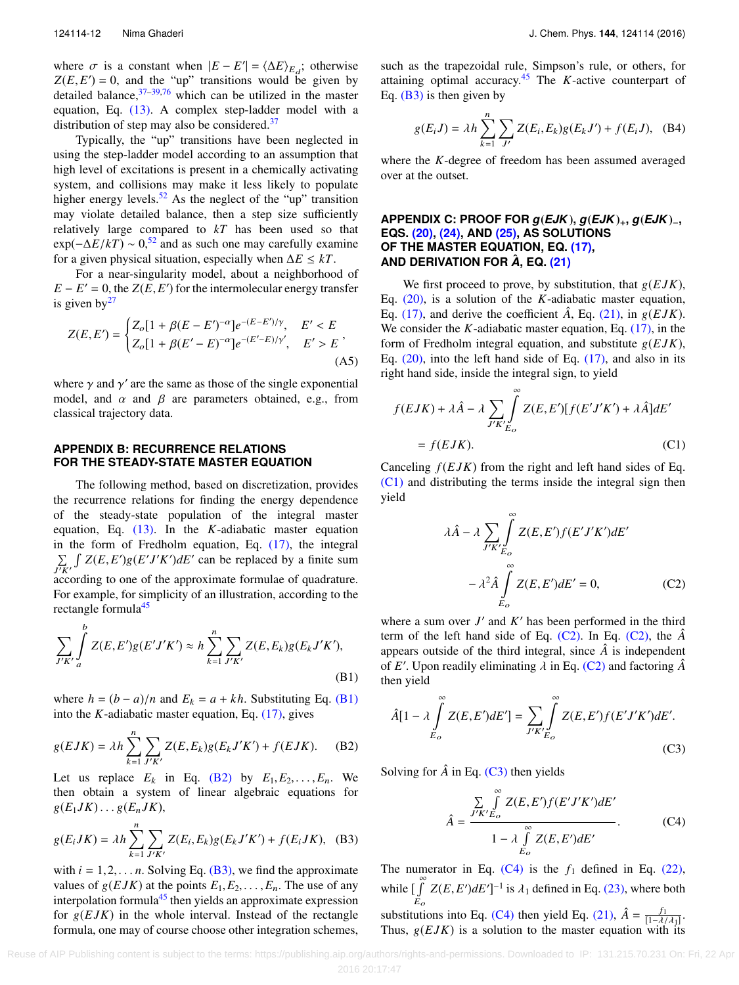where  $\sigma$  is a constant when  $|E - E'| = \langle \Delta E \rangle_{E_d}$ ; otherwise  $Z(E, E') = 0$  and the "un" transitions would be given by  $Z(E, E') = 0$ , and the "up" transitions would be given by detailed balance  $37-39.76$  which can be utilized in the master detailed balance,  $37-39,76$  $37-39,76$  $37-39,76$  which can be utilized in the master equation, Eq. [\(13\).](#page-3-3) A complex step-ladder model with a distribution of step may also be considered. $37$ 

Typically, the "up" transitions have been neglected in using the step-ladder model according to an assumption that high level of excitations is present in a chemically activating system, and collisions may make it less likely to populate higher energy levels.<sup>[52](#page-17-11)</sup> As the neglect of the "up" transition may violate detailed balance, then a step size sufficiently relatively large compared to *kT* has been used so that  $\exp(-\Delta E/kT) \sim 0$ <sup>[52](#page-17-11)</sup> and as such one may carefully examine for a given physical situation, especially when ∆*E* ≤ *kT*.

For a near-singularity model, about a neighborhood of  $E - E' = 0$ , the *Z*(*E*, *E*) for the intermolecular energy transfer<br>is given by<sup>27</sup> is given  $by<sup>27</sup>$  $by<sup>27</sup>$  $by<sup>27</sup>$ 

$$
Z(E, E') = \begin{cases} Z_o[1 + \beta(E - E')^{-\alpha}]e^{-(E - E')/\gamma}, & E' < E \\ Z_o[1 + \beta(E' - E)^{-\alpha}]e^{-(E' - E)/\gamma'}, & E' > E \end{cases} \tag{A5}
$$

where  $\gamma$  and  $\gamma'$  are the same as those of the single exponential<br>model, and  $\alpha$  and  $\beta$  are parameters obtained e.g. from model, and  $\alpha$  and  $\beta$  are parameters obtained, e.g., from classical trajectory data.

#### <span id="page-12-1"></span>**APPENDIX B: RECURRENCE RELATIONS FOR THE STEADY-STATE MASTER EQUATION**

The following method, based on discretization, provides the recurrence relations for finding the energy dependence of the steady-state population of the integral master equation, Eq. [\(13\).](#page-3-3) In the *K*-adiabatic master equation in the form of Fredholm equation, Eq. [\(17\),](#page-4-3) the integral  $\sum_{J'K'}$  $\int Z(E, E')g(E'J'K')dE'$  can be replaced by a finite sum according to one of the approximate formulae of quadrature. For example, for simplicity of an illustration, according to the rectangle formula<sup>[45](#page-17-4)</sup>

$$
\sum_{J'K'} \int_a^b Z(E, E')g(E'J'K') \approx h \sum_{k=1}^n \sum_{J'K'} Z(E, E_k)g(E_kJ'K'),
$$
\n(B1)

where  $h = (b - a)/n$  and  $E_k = a + kh$ . Substituting Eq. [\(B1\)](#page-12-2) into the *K*-adiabatic master equation, Eq. [\(17\),](#page-4-3) gives

$$
g(EJK) = \lambda h \sum_{k=1}^{n} \sum_{J'K'} Z(E, E_k) g(E_k J'K') + f(EJK). \tag{B2}
$$

Let us replace  $E_k$  in Eq. [\(B2\)](#page-12-3) by  $E_1, E_2, \ldots, E_n$ . We then obtain a system of linear algebraic equations for  $g(E_1JK)\ldots g(E_nJK),$ 

$$
g(E_iJK) = \lambda h \sum_{k=1}^{n} \sum_{J'K'} Z(E_i, E_k) g(E_k J'K') + f(E_iJK), \quad (B3)
$$

with  $i = 1, 2, \ldots n$ . Solving Eq. [\(B3\),](#page-12-4) we find the approximate values of  $g(EJK)$  at the points  $E_1, E_2, \ldots, E_n$ . The use of any interpolation formula<sup>[45](#page-17-4)</sup> then yields an approximate expression for  $g(EJK)$  in the whole interval. Instead of the rectangle formula, one may of course choose other integration schemes,

such as the trapezoidal rule, Simpson's rule, or others, for attaining optimal accuracy.[45](#page-17-4) The *K*-active counterpart of Eq.  $(B3)$  is then given by

$$
g(E_i J) = \lambda h \sum_{k=1}^{n} \sum_{J'} Z(E_i, E_k) g(E_k J') + f(E_i J), \quad (B4)
$$

<span id="page-12-0"></span>where the *K*-degree of freedom has been assumed averaged over at the outset.

## **APPENDIX C: PROOF FOR** *g*(*EJK*)**,** *g*(*EJK*)+**,** *g*(*EJK*)−**, EQS. [\(20\),](#page-4-4) [\(24\),](#page-5-1) AND [\(25\),](#page-5-0) AS SOLUTIONS OF THE MASTER EQUATION, EQ. [\(17\),](#page-4-3) AND DERIVATION FOR** *A***ˆ , EQ. [\(21\)](#page-4-5)**

We first proceed to prove, by substitution, that  $g(EJK)$ , Eq. [\(20\),](#page-4-4) is a solution of the *K*-adiabatic master equation, Eq. [\(17\),](#page-4-3) and derive the coefficient  $\hat{A}$ , Eq. [\(21\),](#page-4-5) in  $g(EJK)$ . We consider the *K*-adiabatic master equation, Eq. [\(17\),](#page-4-3) in the form of Fredholm integral equation, and substitute g(*E JK*), Eq.  $(20)$ , into the left hand side of Eq.  $(17)$ , and also in its right hand side, inside the integral sign, to yield

$$
f(EJK) + \lambda \hat{A} - \lambda \sum_{J'K'_{E_o}} \int_{E_o}^{\infty} Z(E, E')[f(E'J'K') + \lambda \hat{A}]dE'
$$
  
=  $f(EJK).$  (C1)

Canceling  $f(EJK)$  from the right and left hand sides of Eq. [\(C1\)](#page-12-5) and distributing the terms inside the integral sign then yield

<span id="page-12-6"></span><span id="page-12-5"></span>
$$
\lambda \hat{A} - \lambda \sum_{J'K'} \int_{E_O}^{\infty} Z(E, E') f(E' J'K') dE'
$$

$$
- \lambda^2 \hat{A} \int_{E_O}^{\infty} Z(E, E') dE' = 0,
$$
(C2)

where a sum over  $J'$  and  $K'$  has been performed in the third term of the left hand side of Eq.  $(C2)$ . In Eq.  $(C2)$ , the  $\hat{A}$ appears outside of the third integral, since  $\hat{A}$  is independent of *E'*. Upon readily eliminating  $\lambda$  in Eq. [\(C2\)](#page-12-6) and factoring  $\hat{A}$ <sup>n</sup> then yield

<span id="page-12-2"></span>
$$
\hat{A}[1-\lambda \int_{E_o}^{\infty} Z(E, E')dE'] = \sum_{J'K'} \int_{E_o}^{\infty} Z(E, E')f(E'J'K')dE'.
$$
\n(C3)

<span id="page-12-3"></span>Solving for  $\hat{A}$  in Eq. [\(C3\)](#page-12-7) then yields

<span id="page-12-8"></span><span id="page-12-7"></span>
$$
\hat{A} = \frac{\sum_{J'K'E_o} \int_{E_o}^{\infty} Z(E, E') f(E'J'K') dE'}{1 - \lambda \int_{E_o}^{\infty} Z(E, E') dE'}.
$$
 (C4)

<span id="page-12-4"></span>The numerator in Eq.  $(C4)$  is the  $f_1$  defined in Eq. [\(22\),](#page-4-9) while  $\int_0^{\infty}$  $\int_{E_o} Z(E, E') dE']^{-1}$  is  $\lambda_1$  defined in Eq. [\(23\),](#page-4-6) where both substitutions into Eq. [\(C4\)](#page-12-8) then yield Eq. [\(21\),](#page-4-5)  $\hat{A} = \frac{f_1}{[1-\lambda/\lambda]}$ .<br>Thus  $g(FJK)$  is a solution to the master equation with its Thus,  $g(EJK)$  is a solution to the master equation with its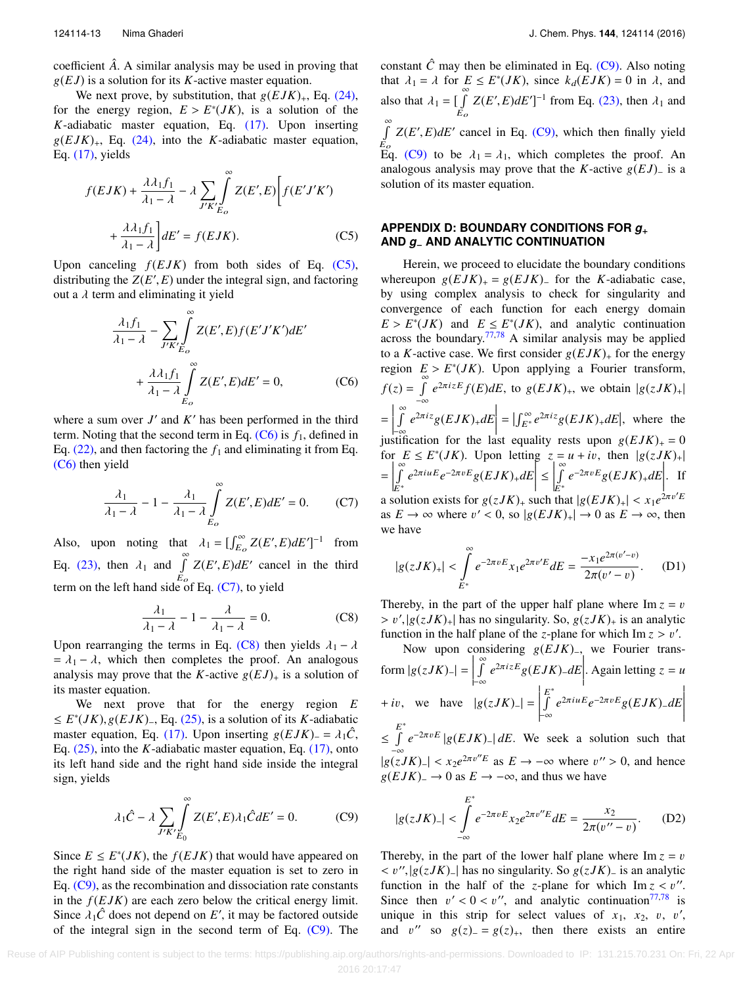coefficient *A*ˆ. A similar analysis may be used in proving that g(*E J*) is a solution for its *<sup>K</sup>*-active master equation.

We next prove, by substitution, that  $g(EJK)_{+}$ , Eq. [\(24\),](#page-5-1) for the energy region,  $E > E^*(JK)$ , is a solution of the  $K$ -adiabatic master equation Eq. (17). Upon inserting  $K$ -adiabatic master equation, Eq.  $(17)$ . Upon inserting  $g(EJK)_{+}$ , Eq. [\(24\),](#page-5-1) into the *K*-adiabatic master equation, Eq. [\(17\),](#page-4-3) yields

$$
f(EJK) + \frac{\lambda \lambda_1 f_1}{\lambda_1 - \lambda} - \lambda \sum_{J'K'_{E_o}} \int_{E_o}^{\infty} Z(E', E) \left[ f(E'J'K') + \frac{\lambda \lambda_1 f_1}{\lambda_1 - \lambda} \right] dE' = f(EJK).
$$
 (C5)

Upon canceling  $f(EJK)$  from both sides of Eq. [\(C5\),](#page-13-1) distributing the  $Z(E', E)$  under the integral sign, and factoring<br>out a *l* term and eliminating it vield out a  $\lambda$  term and eliminating it yield

$$
\frac{\lambda_1 f_1}{\lambda_1 - \lambda} - \sum_{J'K'} \int_{E_O}^{\infty} Z(E', E) f(E'J'K') dE'
$$
  
+ 
$$
\frac{\lambda \lambda_1 f_1}{\lambda_1 - \lambda} \int_{E_O}^{\infty} Z(E', E) dE' = 0,
$$
 (C6)

where a sum over  $J'$  and  $K'$  has been performed in the third term. Noting that the second term in Eq.  $(C6)$  is  $f_1$ , defined in Eq.  $(22)$ , and then factoring the  $f_1$  and eliminating it from Eq. [\(C6\)](#page-13-2) then yield

$$
\frac{\lambda_1}{\lambda_1 - \lambda} - 1 - \frac{\lambda_1}{\lambda_1 - \lambda} \int_{E_o}^{\infty} Z(E', E) dE' = 0.
$$
 (C7)

Also, upon noting that  $\lambda_1 = \left[ \int_{E_o}^{\infty} Z(E', E) dE' \right]^{-1}$  from Eq. [\(23\),](#page-4-6) then  $\lambda_1$  and  $\int_{E_o}^{\infty}$  $Z(E', E)dE'$  cancel in the third term on the left hand side of Eq.  $(C7)$ , to yield

$$
\frac{\lambda_1}{\lambda_1 - \lambda} - 1 - \frac{\lambda}{\lambda_1 - \lambda} = 0.
$$
 (C8)

Upon rearranging the terms in Eq. [\(C8\)](#page-13-4) then yields  $\lambda_1 - \lambda$ <br>-  $\lambda_2 - \lambda_3$  which then completes the proof. An analogous  $= \lambda_1 - \lambda$ , which then completes the proof. An analogous analysis may prove that the *K*-active  $g(EJ)_+$  is a solution of its master equation.

We next prove that for the energy region *E*  $≤ E<sup>*</sup>(JK), g(EJK)$ , Eq. [\(25\),](#page-5-0) is a solution of its *K*-adiabatic master equation Eq. (17). Upon inserting  $g(EJK) = \lambda \hat{C}$ master equation, Eq. [\(17\).](#page-4-3) Upon inserting  $g(EJK) = \lambda_1 \hat{C}$ , Eq. [\(25\),](#page-5-0) into the *K*-adiabatic master equation, Eq. [\(17\),](#page-4-3) onto its left hand side and the right hand side inside the integral sign, yields

$$
\lambda_1 \hat{C} - \lambda \sum_{J'K'} \int_{E_0}^{\infty} Z(E', E) \lambda_1 \hat{C} dE' = 0.
$$
 (C9)

Since  $E \leq E^*(JK)$ , the  $f(EJK)$  that would have appeared on the right hand side of the master equation is set to zero in Eq. [\(C9\),](#page-13-5) as the recombination and dissociation rate constants in the  $f(EJK)$  are each zero below the critical energy limit. Since  $\lambda_1 \hat{C}$  does not depend on *E'*, it may be factored outside<br>of the integral sign in the second term of Eq. (C9). The of the integral sign in the second term of Eq. [\(C9\).](#page-13-5) The

constant  $\hat{C}$  may then be eliminated in Eq. [\(C9\).](#page-13-5) Also noting that  $\lambda_1 = \lambda$  for  $E \le E^*(JK)$ , since  $k_d(EJK) = 0$  in  $\lambda$ , and that  $\lambda_1 = \lambda$  for  $E \le E^*(JK)$ , since  $k_d(EJK) = 0$  in  $\lambda$ , and also that  $\lambda_1 = \begin{bmatrix} 1 \\ 1 \end{bmatrix}^{\infty}$ Eo  $Z(E', E)dE']^{-1}$  from Eq. [\(23\),](#page-4-6) then  $\lambda_1$  and ∞<br>∫  $E_{\rm o}$  $Z(E', E)dE'$  cancel in Eq. [\(C9\),](#page-13-5) which then finally yield Eq. [\(C9\)](#page-13-5) to be  $\lambda_1 = \lambda_1$ , which completes the proof. An analogous analysis may prove that the *K*-active  $g(EJ)$ <sub>−</sub> is a solution of its master equation.

## <span id="page-13-1"></span><span id="page-13-0"></span>**APPENDIX D: BOUNDARY CONDITIONS FOR** *g*<sup>+</sup> **AND** *g*− **AND ANALYTIC CONTINUATION**

<span id="page-13-2"></span>Herein, we proceed to elucidate the boundary conditions whereupon  $g(EJK)_+ = g(EJK)_-$  for the *K*-adiabatic case, by using complex analysis to check for singularity and convergence of each function for each energy domain  $E > E^*(JK)$  and  $E \leq E^*(JK)$ , and analytic continuation<br>across the boundary <sup>77,78</sup> A similar analysis may be annual across the boundary.<sup> $77,78$  $77,78$ </sup> A similar analysis may be applied to a *K*-active case. We first consider  $g(EJK)$  for the energy region  $E > E^*(JK)$ . Upon applying a Fourier transform,  $f(z) = \int_0^\infty$  $\int_{-\infty}^{\infty} e^{2\pi i z E} f(E) dE$ , to  $g(EJK)_{+}$ , we obtain  $|g(zJK)_{+}|$ =  $\begin{array}{c} \hline \end{array}$ ∞<br>∫  $\int_{-\infty}^{\infty} e^{2\pi i z} g(EJK)_{+} dE$  $\left| = \left| \int_{E^*}^{\infty} e^{2\pi i z} g(EJK)_+ dE \right|$ , where the justification for the last equality rests upon  $g(EJK)_+ = 0$ <br>for  $F \le F^*(IK)$ . Upon letting  $z = u + in$  then  $|g(z)K_x|$ . for  $E \le E^*(JK)$ . Upon letting  $z = u + iv$ , then  $|g(zJK)|$ =  $\overline{\phantom{a}}$ ∞<br>∫ E∗  $e^{2\pi i uE}e^{-2\pi vE}g(EJK)$ +*dE* ຮ<br>│≤  $\begin{array}{c} \hline \end{array}$ ∞<br>∫ E∗  $e^{-2\pi vE}g(EJK)$ <sub>+</sub> $dE$      . If a solution exists for  $g(zJK)_{+}$  such that  $|g(EJK)_{+}| < x_1e^{2\pi v'E}$ <br>as  $F \to \infty$  where  $v' < 0$ , so  $|g(EJK)| \to 0$  as  $F \to \infty$ , then as  $E \to \infty$  where  $v' < 0$ , so  $|g(EJK)_+| \to 0$  as  $E \to \infty$ , then we have

<span id="page-13-6"></span><span id="page-13-3"></span>
$$
|g(zJK)_+| < \int\limits_{E^*}^{\infty} e^{-2\pi v E} x_1 e^{2\pi v' E} dE = \frac{-x_1 e^{2\pi (v'-v)}}{2\pi (v'-v)}.\tag{D1}
$$

<span id="page-13-4"></span>Thereby, in the part of the upper half plane where  $\text{Im } z = v$  $> v'$ ,  $|g(zJK)_+|$  has no singularity. So,  $g(zJK)_+$  is an analytic function in the half plane of the z-plane for which  $\text{Im } z > v'$ function in the half plane of the *z*-plane for which  $\text{Im } z > v'$ .<br>Now upon considering  $g(F/K)$  we Fourier trans

Now upon considering g(*E JK*)−, we Fourier transform  $|g(zJK)_-|$  = י<br>|<br>| ∞<br>∫  $\int_{-\infty}^{\infty} e^{2\pi i z E} g(EJK)_{-} dE$  $\left| \begin{array}{c} \text{we Fourier} \\ \text{Again letting } z = u \end{array} \right|$  $+ iv$ , we have  $|g(zJK)_{-}| =$  $\begin{array}{c} \hline \end{array}$ E ∗  $\int_{-\infty}^{\infty} e^{2\pi i u E} e^{-2\pi v E} g(EJK)$ <sub>−</sub>*dE* +∞  $\left|e(zJK)\right| = \left|\int_{-\infty}^{E^*} e^{2\pi i u E} e^{-2\pi v E} g(EJK) dE\right|$ <br>\*  $\leq$   $\stackrel{E}{\int}$  $\int_{-\infty}^{\infty} e^{-2\pi v E} |g(EJK)| dE$ . We seek a solution such that  $|g(zJK)| < x_2e^{2\pi v''E}$  as  $E \to -\infty$  where  $v'' > 0$ , and hence  $g(EJK) \to 0$  as  $F \to -\infty$  and thus we have  $g(EJK)$ <sub>−</sub> → 0 as  $E \rightarrow -\infty$ , and thus we have

<span id="page-13-7"></span><span id="page-13-5"></span>
$$
|g(zJK)_{-}| < \int_{-\infty}^{E^*} e^{-2\pi v E} x_2 e^{2\pi v''E} dE = \frac{x_2}{2\pi (v'' - v)}.
$$
 (D2)

Thereby, in the part of the lower half plane where  $\text{Im } z = v$  $\langle v'', | g(zJK) \rangle$  has no singularity. So  $g(zJK)$  is an analytic function in the half of the z-plane for which Im  $z \leq v''$ function in the half of the *z*-plane for which  $\text{Im } z < v''$  $\text{Im } z < v''$  $\text{Im } z < v''$ .<br>Since then  $v' < 0 < v''$  and analytic continuation<sup>77,78</sup> is Since then  $v' < 0 < v''$ , and analytic continuation<sup>[77,](#page-17-34)78</sup> is<br>unique in this strip for select values of  $x_1, x_2, y_1, y'_2$ unique in this strip for select values of  $x_1$ ,  $x_2$ ,  $v$ ,  $v'$ ,  $v''$ , and  $v''$ , so  $g(z) = g(z)$ , then there exists an entire and v'' so  $g(z)$ <sub>−</sub> =  $g(z)$ <sub>+</sub>, then there exists an entire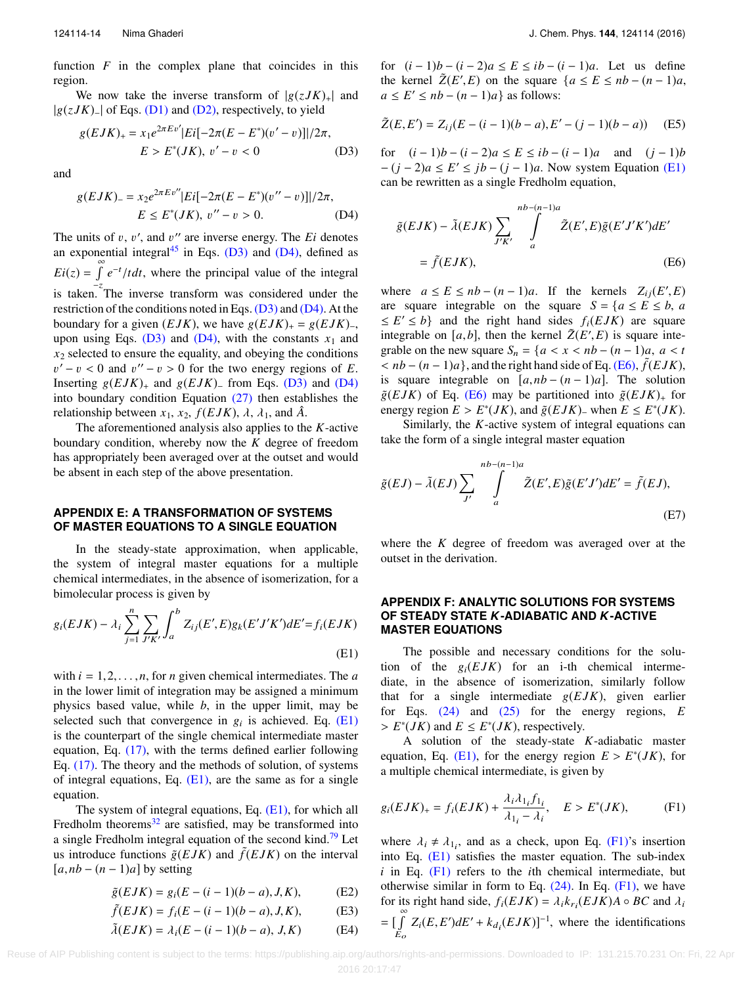function  $F$  in the complex plane that coincides in this region.

We now take the inverse transform of  $|g(zJK)_+|$  and |g(*zJK*)−<sup>|</sup> of Eqs. [\(D1\)](#page-13-6) and [\(D2\),](#page-13-7) respectively, to yield

$$
g(EJK)_{+} = x_{1}e^{2\pi Ev'}|Ei[-2\pi(E - E^{*})(v' - v)]|/2\pi,
$$
  

$$
E > E^{*}(JK), v' - v < 0
$$
 (D3)

and

$$
g(EJK)_{-} = x_{2}e^{2\pi Ev''}|Ei[-2\pi(E - E^{*})(v'' - v)]|/2\pi,
$$
  

$$
E \le E^{*}(JK), v'' - v > 0.
$$
 (D4)

The units of v, v', and v'' are inverse energy. The *Ei* denotes<br>an exponential integral<sup>45</sup> in Eqs. (D3) and (D4), defined as an exponential integral<sup>[45](#page-17-4)</sup> in Eqs. [\(D3\)](#page-14-2) and [\(D4\),](#page-14-3) defined as  $Ei(z) = \int_{0}^{\infty}$ −z  $e^{-t}/tdt$ , where the principal value of the integral is taken. The inverse transform was considered under the restriction of the conditions noted in Eqs. [\(D3\)](#page-14-2) and [\(D4\).](#page-14-3) At the boundary for a given  $(EJK)$ , we have  $g(EJK)_+ = g(EJK)_-,$ upon using Eqs.  $(D3)$  and  $(D4)$ , with the constants  $x_1$  and  $x_2$  selected to ensure the equality, and obeying the conditions Inserting  $g(EJK)$ <sub>+</sub> and  $g(EJK)$ <sub>−</sub> from Eqs. [\(D3\)](#page-14-2) and [\(D4\)](#page-14-3)<br>into boundary condition Equation (27) then establishes the  $y' - v < 0$  and  $v'' - v > 0$  for the two energy regions of *E*.<br>
continuously and  $g(EJK)$  from Eqs. (D<sub>3</sub>) and (D<sub>4</sub>) into boundary condition Equation [\(27\)](#page-5-6) then establishes the relationship between  $x_1$ ,  $x_2$ ,  $f(EJK)$ ,  $\lambda$ ,  $\lambda_1$ , and  $\hat{A}$ .

The aforementioned analysis also applies to the *K*-active boundary condition, whereby now the *K* degree of freedom has appropriately been averaged over at the outset and would be absent in each step of the above presentation.

## <span id="page-14-0"></span>**APPENDIX E: A TRANSFORMATION OF SYSTEMS OF MASTER EQUATIONS TO A SINGLE EQUATION**

In the steady-state approximation, when applicable, the system of integral master equations for a multiple chemical intermediates, in the absence of isomerization, for a bimolecular process is given by

$$
g_i(EJK) - \lambda_i \sum_{j=1}^n \sum_{J'K'} \int_a^b Z_{ij}(E',E)g_k(E'J'K')dE' = f_i(EJK)
$$
\n(E1)

with  $i = 1, 2, \ldots, n$ , for *n* given chemical intermediates. The *a* in the lower limit of integration may be assigned a minimum physics based value, while *b*, in the upper limit, may be selected such that convergence in  $g_i$  is achieved. Eq. [\(E1\)](#page-14-4) is the counterpart of the single chemical intermediate master equation, Eq. [\(17\),](#page-4-3) with the terms defined earlier following Eq. [\(17\).](#page-4-3) The theory and the methods of solution, of systems of integral equations, Eq.  $(E1)$ , are the same as for a single equation.

The system of integral equations, Eq.  $(E1)$ , for which all Fredholm theorems $^{32}$  $^{32}$  $^{32}$  are satisfied, may be transformed into a single Fredholm integral equation of the second kind.<sup>[79](#page-17-36)</sup> Let us introduce functions  $\tilde{g}(EJK)$  and  $\tilde{f}(EJK)$  on the interval [*a*,*nb* <sup>−</sup> (*<sup>n</sup>* <sup>−</sup> <sup>1</sup>)*a*] by setting

$$
\tilde{g}(EJK) = g_i(E - (i-1)(b-a), J, K),
$$
 (E2)

$$
\tilde{f}(EJK) = f_i(E - (i - 1)(b - a), J, K),
$$
 (E3)  

$$
\tilde{\lambda}(EJK) = \lambda_i(E - (i - 1)(b - a), J, K)
$$
 (E4)

<span id="page-14-5"></span>

for (*i* − 1)*b* − (*i* − 2)*a* ≤ *E* ≤ *ib* − (*i* − 1)*a*. Let us define the kernel  $\tilde{Z}(E', E)$  on the square  $\{a \le E \le nb - (n-1)a, a \le E' \le nh - (n-1)a\}$  as follows:  $a \leq E' \leq nb - (n-1)a$ } as follows:

$$
\tilde{Z}(E, E') = Z_{ij}(E - (i - 1)(b - a), E' - (j - 1)(b - a))
$$
 (E5)

<span id="page-14-2"></span>for  $(i - 1)b - (i - 2)a \le E \le ib - (i - 1)a$  and  $(j - 1)b$ − (*j* − 2)*a* ≤ *E* ′ ≤ *jb* − (*j* − 1)*a*. Now system Equation [\(E1\)](#page-14-4) can be rewritten as a single Fredholm equation,

<span id="page-14-3"></span>
$$
\tilde{g}(EJK) - \tilde{\lambda}(EJK) \sum_{J'K'} \int_{a}^{nb-(n-1)a} \tilde{Z}(E',E)\tilde{g}(E'J'K')dE'
$$
  
=  $\tilde{f}(EJK),$  (E6)

where  $a \le E \le nb - (n-1)a$ . If the kernels  $Z_{ij}(E', E)$ <br>are square integrable on the square  $S - \frac{f}{E} \le b$  and are square integrable on the square  $S = \{a \le E \le b, a\}$  $\leq E' \leq b$ } and the right hand sides  $f_i(EJK)$  are square integrable on [*a*, *b*], then the kernel  $\tilde{Z}(E', E)$  is square inte-<br>grable on the new square  $S = \{a < r < nb - (n-1)a, a < t\}$ grable on the new square  $S_n = \{a < x < nb - (n-1)a, a < t\}$  $\leq nb - (n-1)a$ , and the right hand side of Eq. [\(E6\),](#page-14-5)  $\tilde{f}(EJK)$ ,<br>is square, integrable, on  $[a, nb - (n-1)a]$ . The solution is square integrable on  $[a, nb - (n-1)a]$ . The solution  $\tilde{g}(EJK)$  of Eq. [\(E6\)](#page-14-5) may be partitioned into  $\tilde{g}(EJK)_{+}$  for energy region  $E > E^*(JK)$ , and  $\tilde{g}(EJK)$  when  $E \leq E^*(JK)$ .<br>Similarly, the *K*-active system of integral equations can

Similarly, the *K*-active system of integral equations can take the form of a single integral master equation

$$
\tilde{g}(EJ) - \tilde{\lambda}(EJ) \sum_{J'} \int_{a}^{nb-(n-1)a} \tilde{Z}(E',E)\tilde{g}(E'J')dE' = \tilde{f}(EJ),\tag{E7}
$$

<span id="page-14-1"></span>where the *K* degree of freedom was averaged over at the outset in the derivation.

## **APPENDIX F: ANALYTIC SOLUTIONS FOR SYSTEMS OF STEADY STATE** *K***-ADIABATIC AND** *K***-ACTIVE MASTER EQUATIONS**

<span id="page-14-4"></span>The possible and necessary conditions for the solution of the  $g_i(EJK)$  for an i-th chemical intermediate, in the absence of isomerization, similarly follow that for a single intermediate  $g(EJK)$ , given earlier for Eqs. [\(24\)](#page-5-1) and [\(25\)](#page-5-0) for the energy regions, *E*  $>E^*(JK)$  and  $E \leq E^*(JK)$ , respectively.

A solution of the steady-state *K*-adiabatic master equation, Eq. [\(E1\),](#page-14-4) for the energy region  $E > E^*(JK)$ , for a multiple chemical intermediate is given by a multiple chemical intermediate, is given by

<span id="page-14-6"></span>
$$
g_i(EJK)_+ = f_i(EJK) + \frac{\lambda_i \lambda_{1_i} f_{1_i}}{\lambda_{1_i} - \lambda_i}, \quad E > E^*(JK), \tag{F1}
$$

where  $\lambda_i \neq \lambda_{1i}$ , and as a check, upon Eq. [\(F1\)'](#page-14-6)s insertion<br>into Eq. (E1) satisfies the master equation. The sub-index into Eq. [\(E1\)](#page-14-4) satisfies the master equation. The sub-index *i* in Eq. [\(F1\)](#page-14-6) refers to the *i*th chemical intermediate, but otherwise similar in form to Eq.  $(24)$ . In Eq.  $(F1)$ , we have for its right hand side,  $f_i(EJK) = \lambda_i k_{r_i}(EJK)A \circ BC$  and  $\lambda_i$  $=\left[\int_{E_O}^{\infty} Z_i(E, E') dE' + k_{d_i}(EJK)\right]^{-1}$ , where the identifications  $E_{\scriptscriptstyle O}$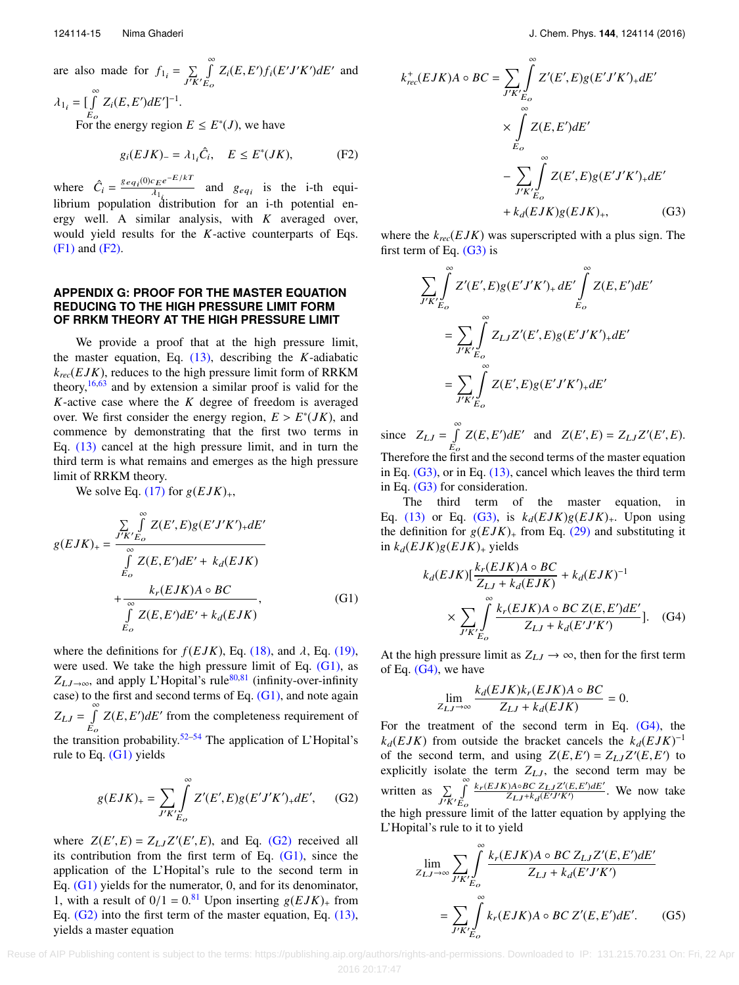are also made for 
$$
f_{1_i} = \sum_{J'K'} \int_{E_O}^{\infty} Z_i(E, E') f_i(E'J'K') dE'
$$
 and

 $\lambda_{1_i} = \left[ \int_{E_o}^{\infty} \right]$  $\int_{E_O} Z_i(E, E') dE']^{-1}.$ For the energy region  $E \leq E^*(J)$ , we have

$$
g_i(EJK)_- = \lambda_{1_i}\hat{C}_i, \quad E \le E^*(JK), \tag{F2}
$$

where  $\hat{C}_i = \frac{geq_{i}(0)c_{E}e^{-E/kT}}{\lambda_1}$  $\frac{\partial u_i}{\partial x_i}$  and  $g_{eq_i}$  is the i-th equilibrium population distribution for an i-th potential energy well. A similar analysis, with *K* averaged over, would yield results for the *K*-active counterparts of Eqs. [\(F1\)](#page-14-6) and [\(F2\).](#page-15-1)

## <span id="page-15-0"></span>**APPENDIX G: PROOF FOR THE MASTER EQUATION REDUCING TO THE HIGH PRESSURE LIMIT FORM OF RRKM THEORY AT THE HIGH PRESSURE LIMIT**

We provide a proof that at the high pressure limit, the master equation, Eq. [\(13\),](#page-3-3) describing the *K*-adiabatic  $k_{rec}(EJK)$ , reduces to the high pressure limit form of RRKM theory,  $16,63$  $16,63$  and by extension a similar proof is valid for the *K*-active case where the *K* degree of freedom is averaged over. We first consider the energy region,  $E > E^*(JK)$ , and<br>commence by demonstrating that the first two terms in commence by demonstrating that the first two terms in Eq. [\(13\)](#page-3-3) cancel at the high pressure limit, and in turn the third term is what remains and emerges as the high pressure limit of RRKM theory.

We solve Eq.  $(17)$  for  $g(EJK)_{+}$ ,

$$
g(EJK)_{+} = \frac{\sum_{J'K'} \int_{E_O}^{\infty} Z(E',E)g(E'J'K')_{+}dE'}{\int_{E_O}^{\infty} Z(E,E')dE' + k_d(EJK)}
$$
  
+ 
$$
\frac{k_r(EJK)A \circ BC}{\int_{E_O}^{\infty} Z(E,E')dE' + k_d(EJK)},
$$
(G1)

where the definitions for  $f(EJK)$ , Eq. [\(18\),](#page-4-7) and  $\lambda$ , Eq. [\(19\),](#page-4-8) were used. We take the high pressure limit of Eq. [\(G1\),](#page-15-2) as  $Z_{LJ\rightarrow\infty}$ , and apply L'Hopital's rule<sup>[80](#page-17-37)[,81](#page-17-38)</sup> (infinity-over-infinity case) to the first and second terms of Eq.  $(G1)$ , and note again  $Z_{LJ} = \int_{E_O}^{\infty} Z(E, E') dE'$  from the completeness requirement of  $E_o$ <br>the transition probability.<sup>[52–](#page-17-11)[54](#page-17-12)</sup> The application of L'Hopital's rule to Eq.  $(G1)$  yields

$$
g(EJK)_{+} = \sum_{J'K'} \int_{E_O}^{\infty} Z'(E',E)g(E'J'K')_{+}dE', \quad \text{(G2)}
$$

where  $Z(E', E) = Z_{LJ}Z'(E', E)$ , and Eq. [\(G2\)](#page-15-3) received all<br>its contribution from the first term of Eq. (G1) since the its contribution from the first term of Eq.  $(G1)$ , since the application of the L'Hopital's rule to the second term in Eq. [\(G1\)](#page-15-2) yields for the numerator, 0, and for its denominator, 1, with a result of  $0/1 = 0.81$  $0/1 = 0.81$  Upon inserting  $g(EJK)$  from Eq. [\(G2\)](#page-15-3) into the first term of the master equation, Eq. [\(13\),](#page-3-3) yields a master equation

$$
k_{rec}^{+}(EJK)A \circ BC = \sum_{J'K'} \int_{E_O} Z'(E',E)g(E'J'K')_{+}dE'
$$
  
 
$$
\times \int_{E_O}^{\infty} Z(E,E')dE'
$$
  
 
$$
- \sum_{J'K'} \int_{E_O}^{\infty} Z(E',E)g(E'J'K')_{+}dE'
$$
  
 
$$
+ k_d(EJK)g(EJK)_{+}, \qquad (G3)
$$

<span id="page-15-4"></span>∞

<span id="page-15-1"></span>where the *krec*(*E JK*) was superscripted with a plus sign. The first term of Eq.  $(G3)$  is

$$
\sum_{J'K'} \int_{E_o}^{\infty} Z'(E',E)g(E'J'K')_{+} dE' \int_{E_o}^{\infty} Z(E,E')dE'
$$
  
= 
$$
\sum_{J'K'} \int_{E_o}^{\infty} Z_{LJ}Z'(E',E)g(E'J'K')_{+} dE'
$$
  
= 
$$
\sum_{J'K'} \int_{E_o}^{\infty} Z(E',E)g(E'J'K')_{+} dE'
$$

since  $Z_{LJ} = \int_{0}^{\infty}$  $\int_{E_O} Z(E, E') dE'$  and  $Z(E', E) = Z_{LJ}Z'(E', E)$ . Therefore the first and the second terms of the master equation in Eq.  $(G3)$ , or in Eq.  $(13)$ , cancel which leaves the third term in Eq. [\(G3\)](#page-15-4) for consideration.

The third term of the master equation, in Eq. [\(13\)](#page-3-3) or Eq. [\(G3\),](#page-15-4) is  $k_d(EJK)g(EJK)_{+}$ . Upon using the definition for  $g(EJK)$ <sub>+</sub> from Eq. [\(29\)](#page-5-4) and substituting it in  $k_d(EJK)g(EJK)$ + yields

<span id="page-15-2"></span>
$$
k_d(EJK)[\frac{k_r(EJK)A \circ BC}{Z_{LJ} + k_d(EJK)} + k_d(EJK)^{-1}
$$
  
 
$$
\times \sum_{J'K'_{E_o}} \int_{Z_{LJ} + k_d(E'J'K')}^{\infty} \frac{k_r(EJK)A \circ BCZ(E,E')dE'}{Z_{LJ} + k_d(E'J'K')}].
$$
 (G4)

At the high pressure limit as  $Z_{LJ} \rightarrow \infty$ , then for the first term of Eq.  $(G4)$ , we have

<span id="page-15-5"></span>
$$
\lim_{Z_{LJ}\to\infty}\frac{k_d(EJK)k_r(EJK)A\circ BC}{Z_{LJ}+k_d(EJK)}=0.
$$

<span id="page-15-3"></span>For the treatment of the second term in Eq.  $(G4)$ , the  $k_d(EJK)$  from outside the bracket cancels the  $k_d(EJK)^{-1}$ of the second term, and using  $Z(E, E') = Z_{LJ}Z'(E, E')$  to explicitly isolate the term  $Z_{LJ}$ , the second term may be explicitly isolate the term  $Z_{LJ}$ , the second term may be written as  $\sum_{J'K'}$ ∞<br>∫ Eo  $k_r(EJK)A \circ BC \; Z_{LJ} Z'(E, E') dE'$  $\frac{Z_{LJ}Z(E,E)abc}{Z_{LJ}+k_d(E'J'K')}$ . We now take the high pressure limit of the latter equation by applying the L'Hopital's rule to it to yield

<span id="page-15-6"></span>
$$
\lim_{Z_{LJ}\to\infty} \sum_{J'K'} \int_{E_o}^{\infty} \frac{k_r(EJK)A \circ BC \, Z_{LJ} Z'(E, E')dE'}{Z_{LJ} + k_d(E'J'K')}
$$

$$
= \sum_{J'K'} \int_{E_o}^{\infty} k_r(EJK)A \circ BC \, Z'(E, E')dE'. \tag{G5}
$$

 Reuse of AIP Publishing content is subject to the terms: https://publishing.aip.org/authors/rights-and-permissions. Downloaded to IP: 131.215.70.231 On: Fri, 22 Apr 2016 20:17:47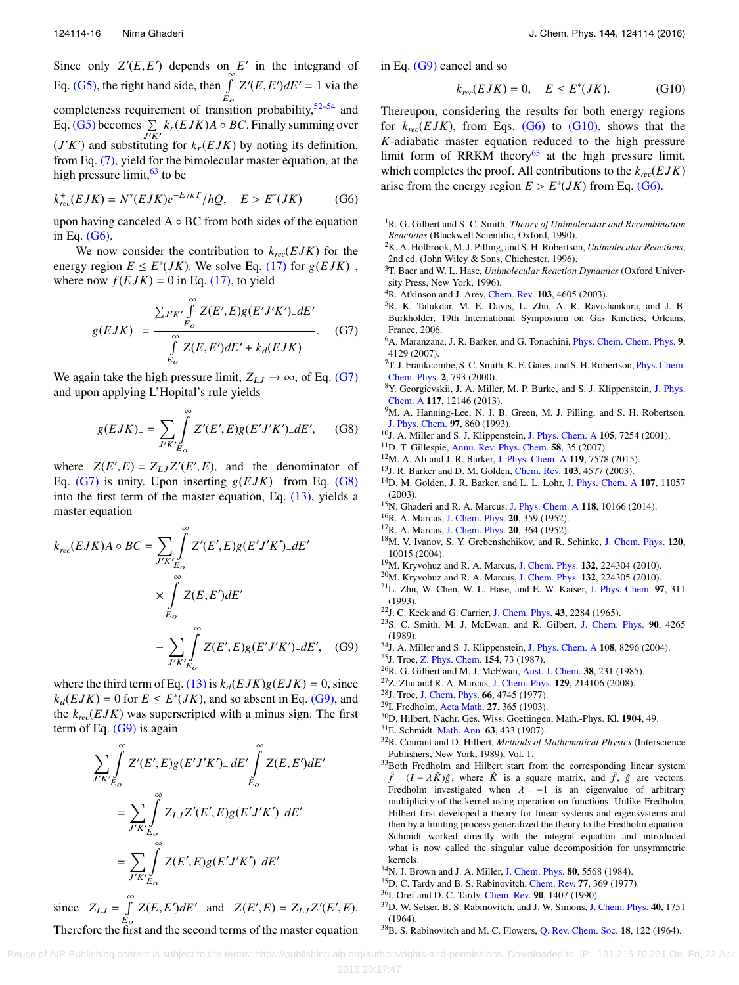Since only  $Z'(E, E')$  depends on  $E'$  in the integrand of Eq. [\(G5\),](#page-15-6) the right hand side, then  $\int_{a}^{\infty}$  $E_{\rm o}$  $Z'(E, E')dE' = 1$  via the completeness requirement of transition probability,  $52-54$  $52-54$  and Eq. [\(G5\)](#page-15-6) becomes  $\sum_{J'K'} k_r(EJK)A \circ BC$ . Finally summing over  $(J'K')$  and substituting for  $k_r(EJK)$  by noting its definition, from Eq. [\(7\),](#page-3-5) yield for the bimolecular master equation, at the high pressure limit,  $63$  to be

$$
k_{rec}^{+}(EJK) = N^{*}(EJK)e^{-E/kT}/hQ, \quad E > E^{*}(JK) \tag{G6}
$$

upon having canceled  $A \circ BC$  from both sides of the equation in Eq. [\(G6\).](#page-16-30)

We now consider the contribution to  $k_{rec}(EJK)$  for the energy region  $E \le E^*(JK)$ . We solve Eq. [\(17\)](#page-4-3) for  $g(EJK)$ <sub>-</sub>,<br>where now  $f(EJK) = 0$  in Eq. (17) to yield where now  $f(EJK) = 0$  in Eq. [\(17\),](#page-4-3) to yield

$$
g(EJK)_{-} = \frac{\sum_{J'K'} \int_{E_o}^{\infty} Z(E',E)g(E'J'K')_{-}dE'}{\int_{E_o}^{\infty} Z(E,E')dE' + k_d(EJK)}.
$$
 (G7)

We again take the high pressure limit,  $Z_{LJ} \rightarrow \infty$ , of Eq. [\(G7\)](#page-16-31) and upon applying L'Hopital's rule yields

$$
g(EJK)_{-} = \sum_{J'K'} \int_{E_O}^{\infty} Z'(E',E)g(E'J'K')_{-}dE', \quad (G8)
$$

where  $Z(E', E) = Z_{LJ}Z'(E', E)$ , and the denominator of  $E_G$  (G<sub>2</sub>) is unity Upon inserting  $g(E|K)$  from Eq. (G<sub>2</sub>) Eq. [\(G7\)](#page-16-31) is unity. Upon inserting <sup>g</sup>(*E JK*)<sup>−</sup> from Eq. [\(G8\)](#page-16-32) into the first term of the master equation, Eq. [\(13\),](#page-3-3) yields a master equation

$$
k_{rec}^{-}(EJK)A \circ BC = \sum_{J'K'} \int_{E_O}^{\infty} Z'(E',E)g(E'J'K') \, dE'
$$

$$
\times \int_{E_O}^{\infty} Z(E,E')dE'
$$

$$
- \sum_{J'K'} \int_{E_O}^{\infty} Z(E',E)g(E'J'K') \, dE', \quad (G9)
$$

where the third term of Eq. [\(13\)](#page-3-3) is  $k_d(EJK)g(EJK) = 0$ , since  $k_d(EJK) = 0$  for  $E \le E^*(JK)$ , and so absent in Eq. [\(G9\),](#page-16-33) and the  $k_{rec}(EJK)$  was superscripted with a minus sign. The first term of Eq.  $(G9)$  is again

$$
\sum_{J'K'} \int_{E_o}^{\infty} Z'(E',E)g(E'J'K')_{-} dE' \int_{E_o}^{\infty} Z(E,E')dE'
$$
  
= 
$$
\sum_{J'K'} \int_{E_o}^{\infty} Z_{LJ}Z'(E',E)g(E'J'K')_{-} dE'
$$
  
= 
$$
\sum_{J'K'} \int_{E_o}^{\infty} Z(E',E)g(E'J'K')_{-} dE'
$$

since  $Z_{LJ} = \int_{E_O}^{\infty} Z(E, E') dE'$  and  $Z(E', E) = Z_{LJ}Z'(E', E)$ .  $E_o$ <br>Therefore the first and the second terms of the master equation in Eq. [\(G9\)](#page-16-33) cancel and so

<span id="page-16-34"></span>
$$
k_{rec}^- (EJK) = 0, \quad E \le E^*(JK). \tag{G10}
$$

Thereupon, considering the results for both energy regions for  $k_{rec}(EJK)$ , from Eqs. [\(G6\)](#page-16-30) to [\(G10\),](#page-16-34) shows that the *K*-adiabatic master equation reduced to the high pressure limit form of RRKM theory<sup>[63](#page-17-19)</sup> at the high pressure limit, which completes the proof. All contributions to the *krec*(*E JK*) arise from the energy region  $E > E^*(JK)$  from Eq. [\(G6\).](#page-16-30)

- <span id="page-16-30"></span><span id="page-16-0"></span><sup>1</sup>R. G. Gilbert and S. C. Smith, *Theory of Unimolecular and Recombination Reactions* (Blackwell Scientific, Oxford, 1990).
- <sup>2</sup>K. A. Holbrook, M. J. Pilling, and S. H. Robertson, *Unimolecular Reactions*, 2nd ed. (John Wiley & Sons, Chichester, 1996).
- <span id="page-16-1"></span><sup>3</sup>T. Baer and W. L. Hase, *Unimolecular Reaction Dynamics* (Oxford University Press, New York, 1996).
- <span id="page-16-31"></span><span id="page-16-2"></span> ${}^{4}$ R. Atkinson and J. Arey, [Chem. Rev.](http://dx.doi.org/10.1021/cr0206420) 103, 4605 (2003).
- <span id="page-16-3"></span><sup>5</sup>R. K. Talukdar, M. E. Davis, L. Zhu, A. R. Ravishankara, and J. B. Burkholder, 19th International Symposium on Gas Kinetics, Orleans, France, 2006.
- <span id="page-16-4"></span><sup>6</sup>A. Maranzana, J. R. Barker, and G. Tonachini, [Phys. Chem. Chem. Phys.](http://dx.doi.org/10.1039/b705116f) 9, 4129 (2007).
- <span id="page-16-5"></span><sup>7</sup>T. J. Frankcombe, S. C. Smith, K. E. Gates, and S. H. Robertson, [Phys. Chem.](http://dx.doi.org/10.1039/a908180a) [Chem. Phys.](http://dx.doi.org/10.1039/a908180a) 2, 793 (2000).
- <sup>8</sup>Y. Georgievskii, J. A. Miller, M. P. Burke, and S. J. Klippenstein, [J. Phys.](http://dx.doi.org/10.1021/jp4060704) [Chem. A](http://dx.doi.org/10.1021/jp4060704) 117, 12146 (2013).
- <span id="page-16-32"></span><sup>9</sup>M. A. Hanning-Lee, N. J. B. Green, M. J. Pilling, and S. H. Robertson, [J. Phys. Chem.](http://dx.doi.org/10.1021/j100106a011) 97, 860 (1993).
- <span id="page-16-6"></span><sup>10</sup>J. A. Miller and S. J. Klippenstein, [J. Phys. Chem. A](http://dx.doi.org/10.1021/jp0102973) 105, 7254 (2001).
- <span id="page-16-7"></span><sup>11</sup>D. T. Gillespie, [Annu. Rev. Phys. Chem.](http://dx.doi.org/10.1146/annurev.physchem.58.032806.104637) **58**, 35 (2007).
- <sup>12</sup>M. A. Ali and J. R. Barker, [J. Phys. Chem. A](http://dx.doi.org/10.1021/acs.jpca.5b00910) 119, 7578 (2015).
- <sup>13</sup>J. R. Barker and D. M. Golden, [Chem. Rev.](http://dx.doi.org/10.1021/cr020655d) 103, 4577 (2003).
- <span id="page-16-8"></span><sup>14</sup>D. M. Golden, J. R. Barker, and L. L. Lohr, [J. Phys. Chem. A](http://dx.doi.org/10.1021/jp0353183) 107, 11057 (2003).
- <span id="page-16-9"></span><sup>15</sup>N. Ghaderi and R. A. Marcus, [J. Phys. Chem. A](http://dx.doi.org/10.1021/jp506788z) 118, 10166 (2014).
- <span id="page-16-14"></span><sup>16</sup>R. A. Marcus, [J. Chem. Phys.](http://dx.doi.org/10.1063/1.1700424) 20, 359 (1952).
- <span id="page-16-10"></span><sup>17</sup>R. A. Marcus, [J. Chem. Phys.](http://dx.doi.org/10.1063/1.1700425) 20, 364 (1952).
- <span id="page-16-11"></span><sup>18</sup>M. V. Ivanov, S. Y. Grebenshchikov, and R. Schinke, [J. Chem. Phys.](http://dx.doi.org/10.1063/1.1712866) 120, 10015 (2004).
- <span id="page-16-13"></span><sup>19</sup>M. Kryvohuz and R. A. Marcus, [J. Chem. Phys.](http://dx.doi.org/10.1063/1.3430508) 132, 224304 (2010).
- <span id="page-16-12"></span> $^{20}$ M. Kryvohuz and R. A. Marcus, [J. Chem. Phys.](http://dx.doi.org/10.1063/1.3430514) 132, 224305 (2010).
- <span id="page-16-15"></span><sup>21</sup>L. Zhu, W. Chen, W. L. Hase, and E. W. Kaiser, [J. Phys. Chem.](http://dx.doi.org/10.1021/j100104a010) 97, 311 (1993).
- <span id="page-16-16"></span><sup>22</sup>J. C. Keck and G. Carrier, [J. Chem. Phys.](http://dx.doi.org/10.1063/1.1697125) 43, 2284 (1965).
- <span id="page-16-33"></span><span id="page-16-20"></span><sup>23</sup>S. C. Smith, M. J. McEwan, and R. Gilbert, [J. Chem. Phys.](http://dx.doi.org/10.1063/1.455783) 90, 4265 (1989).
- <span id="page-16-17"></span><sup>24</sup>J. A. Miller and S. J. Klippenstein, [J. Phys. Chem. A](http://dx.doi.org/10.1021/jp040287c) 108, 8296 (2004).
- <span id="page-16-18"></span><sup>25</sup>J. Troe, [Z. Phys. Chem.](http://dx.doi.org/10.1524/zpch.1987.154.Part_1_2.073) 154, 73 (1987).
- <span id="page-16-19"></span><sup>26</sup>R. G. Gilbert and M. J. McEwan, [Aust. J. Chem.](http://dx.doi.org/10.1071/CH9850231) **38**, 231 (1985).
- <span id="page-16-21"></span><sup>27</sup>Z. Zhu and R. A. Marcus, [J. Chem. Phys.](http://dx.doi.org/10.1063/1.3026605) 129, 214106 (2008).
- <span id="page-16-22"></span><sup>28</sup>J. Troe, [J. Chem. Phys.](http://dx.doi.org/10.1063/1.433837) 66, 4745 (1977).
- <span id="page-16-23"></span><sup>29</sup>I. Fredholm, [Acta Math.](http://dx.doi.org/10.1007/BF02421317) 27, 365 (1903).
- <sup>30</sup>D. Hilbert, Nachr. Ges. Wiss. Goettingen, Math.-Phys. Kl. 1904, 49.
- <sup>31</sup>E. Schmidt, [Math. Ann.](http://dx.doi.org/10.1007/BF01449770) 63, 433 (1907).
- <span id="page-16-24"></span><sup>32</sup>R. Courant and D. Hilbert, *Methods of Mathematical Physics* (Interscience Publishers, New York, 1989), Vol. 1.
- <span id="page-16-25"></span><sup>33</sup>Both Fredholm and Hilbert start from the corresponding linear system  $\hat{f} = (I - \lambda \hat{K})\hat{g}$ , where  $\hat{K}$  is a square matrix, and  $\hat{f}$ ,  $\hat{g}$  are vectors. Fredholm investigated when  $\lambda = -1$  is an eigenvalue of arbitrary multiplicity of the kernel using operation on functions. Unlike Fredholm, Hilbert first developed a theory for linear systems and eigensystems and then by a limiting process generalized the theory to the Fredholm equation. Schmidt worked directly with the integral equation and introduced what is now called the singular value decomposition for unsymmetric kernels.
- <span id="page-16-26"></span><sup>34</sup>N. J. Brown and J. A. Miller, [J. Chem. Phys.](http://dx.doi.org/10.1063/1.446621) 80, 5568 (1984).
- <span id="page-16-27"></span><sup>35</sup>D. C. Tardy and B. S. Rabinovitch, [Chem. Rev.](http://dx.doi.org/10.1021/cr60307a004) 77, 369 (1977).
- <span id="page-16-28"></span><sup>36</sup>I. Oref and D. C. Tardy, [Chem. Rev.](http://dx.doi.org/10.1021/cr00106a003) 90, 1407 (1990).
- <span id="page-16-29"></span><sup>37</sup>D. W. Setser, B. S. Rabinovitch, and J. W. Simons, [J. Chem. Phys.](http://dx.doi.org/10.1063/1.1725392) 40, 1751 (1964).
- <sup>38</sup>B. S. Rabinovitch and M. C. Flowers, [Q. Rev. Chem. Soc.](http://dx.doi.org/10.1039/qr9641800122) 18, 122 (1964).